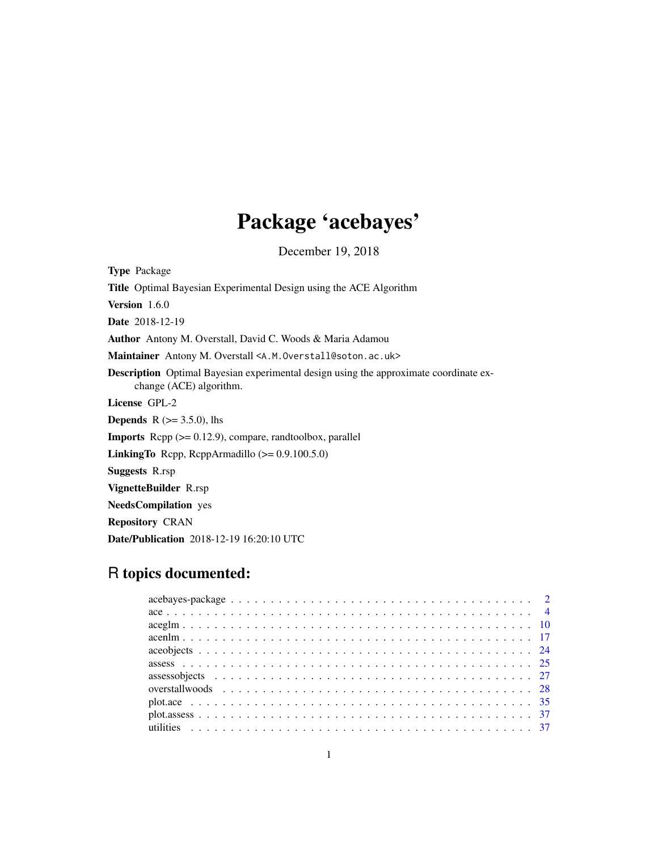# Package 'acebayes'

December 19, 2018

<span id="page-0-0"></span>Type Package Title Optimal Bayesian Experimental Design using the ACE Algorithm Version 1.6.0 Date 2018-12-19 Author Antony M. Overstall, David C. Woods & Maria Adamou Maintainer Antony M. Overstall <A.M. Overstall@soton.ac.uk> Description Optimal Bayesian experimental design using the approximate coordinate exchange (ACE) algorithm. License GPL-2 **Depends** R  $(>= 3.5.0)$ , lhs Imports Rcpp (>= 0.12.9), compare, randtoolbox, parallel LinkingTo Rcpp, RcppArmadillo (>= 0.9.100.5.0) Suggests R.rsp VignetteBuilder R.rsp NeedsCompilation yes Repository CRAN Date/Publication 2018-12-19 16:20:10 UTC

## R topics documented: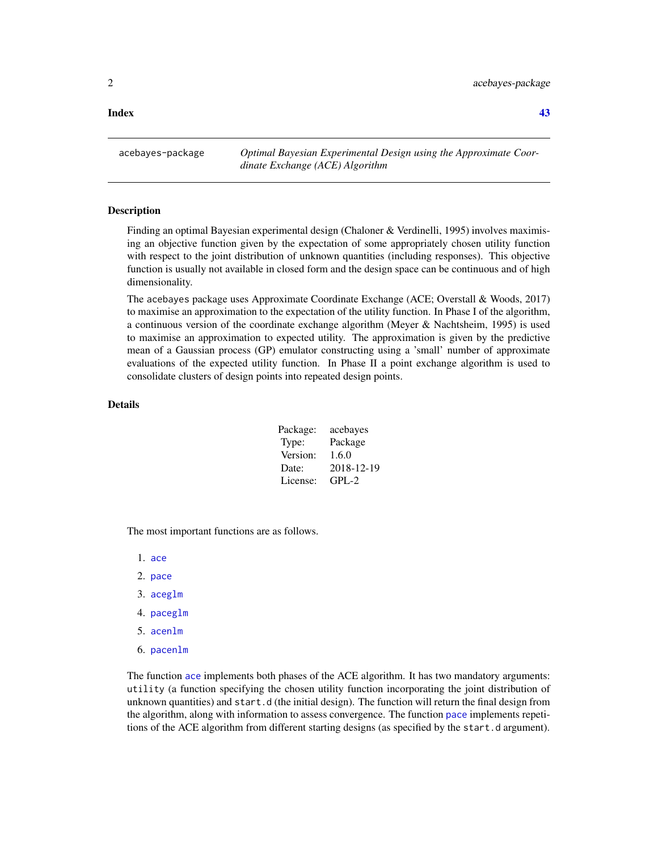### <span id="page-1-0"></span>**Index** [43](#page-42-0)

acebayes-package *Optimal Bayesian Experimental Design using the Approximate Coordinate Exchange (ACE) Algorithm*

### Description

Finding an optimal Bayesian experimental design (Chaloner & Verdinelli, 1995) involves maximising an objective function given by the expectation of some appropriately chosen utility function with respect to the joint distribution of unknown quantities (including responses). This objective function is usually not available in closed form and the design space can be continuous and of high dimensionality.

The acebayes package uses Approximate Coordinate Exchange (ACE; Overstall & Woods, 2017) to maximise an approximation to the expectation of the utility function. In Phase I of the algorithm, a continuous version of the coordinate exchange algorithm (Meyer & Nachtsheim, 1995) is used to maximise an approximation to expected utility. The approximation is given by the predictive mean of a Gaussian process (GP) emulator constructing using a 'small' number of approximate evaluations of the expected utility function. In Phase II a point exchange algorithm is used to consolidate clusters of design points into repeated design points.

### Details

| Package: | acebayes   |
|----------|------------|
| Type:    | Package    |
| Version: | 1.6.0      |
| Date:    | 2018-12-19 |
| License: | $GPI - 2$  |

The most important functions are as follows.

1. [ace](#page-3-1)

- 2. [pace](#page-4-0)
- 3. [aceglm](#page-9-1)
- 4. [paceglm](#page-9-2)
- 5. [acenlm](#page-16-1)
- 6. [pacenlm](#page-16-2)

The function [ace](#page-3-1) implements both phases of the ACE algorithm. It has two mandatory arguments: utility (a function specifying the chosen utility function incorporating the joint distribution of unknown quantities) and start.d (the initial design). The function will return the final design from the algorithm, along with information to assess convergence. The function [pace](#page-4-0) implements repetitions of the ACE algorithm from different starting designs (as specified by the start.d argument).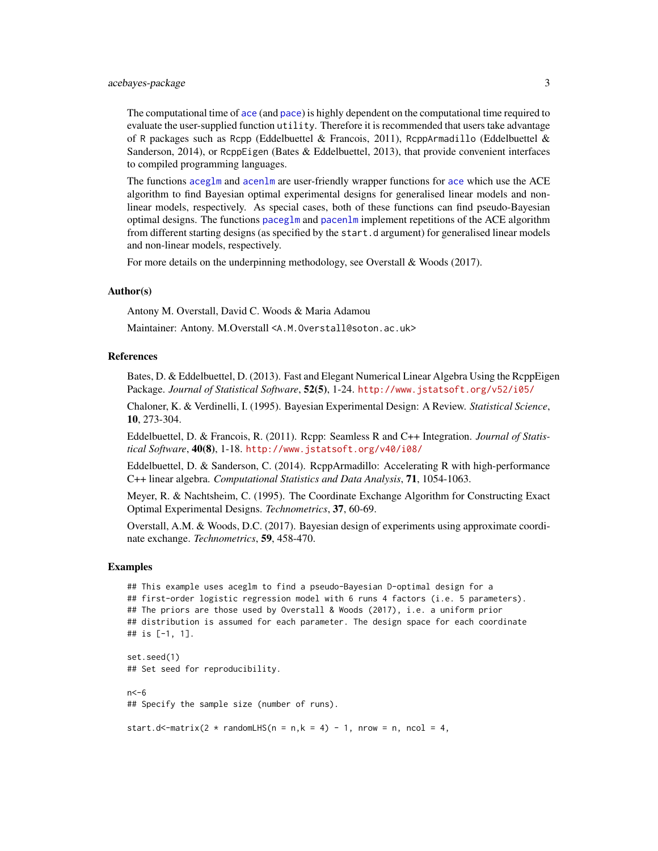<span id="page-2-0"></span>The computational time of [ace](#page-3-1) (and [pace](#page-4-0)) is highly dependent on the computational time required to evaluate the user-supplied function utility. Therefore it is recommended that users take advantage of R packages such as Rcpp (Eddelbuettel & Francois, 2011), ReppArmadillo (Eddelbuettel & Sanderson, 2014), or RcppEigen (Bates & Eddelbuettel, 2013), that provide convenient interfaces to compiled programming languages.

The functions [aceglm](#page-9-1) and [acenlm](#page-16-1) are user-friendly wrapper functions for [ace](#page-3-1) which use the ACE algorithm to find Bayesian optimal experimental designs for generalised linear models and nonlinear models, respectively. As special cases, both of these functions can find pseudo-Bayesian optimal designs. The functions [paceglm](#page-9-2) and [pacenlm](#page-16-2) implement repetitions of the ACE algorithm from different starting designs (as specified by the start.d argument) for generalised linear models and non-linear models, respectively.

For more details on the underpinning methodology, see Overstall & Woods (2017).

### Author(s)

Antony M. Overstall, David C. Woods & Maria Adamou

Maintainer: Antony. M.Overstall <A.M.Overstall@soton.ac.uk>

#### References

Bates, D. & Eddelbuettel, D. (2013). Fast and Elegant Numerical Linear Algebra Using the RcppEigen Package. *Journal of Statistical Software*, 52(5), 1-24. <http://www.jstatsoft.org/v52/i05/>

Chaloner, K. & Verdinelli, I. (1995). Bayesian Experimental Design: A Review. *Statistical Science*, 10, 273-304.

Eddelbuettel, D. & Francois, R. (2011). Rcpp: Seamless R and C++ Integration. *Journal of Statistical Software*, 40(8), 1-18. <http://www.jstatsoft.org/v40/i08/>

Eddelbuettel, D. & Sanderson, C. (2014). RcppArmadillo: Accelerating R with high-performance C++ linear algebra. *Computational Statistics and Data Analysis*, 71, 1054-1063.

Meyer, R. & Nachtsheim, C. (1995). The Coordinate Exchange Algorithm for Constructing Exact Optimal Experimental Designs. *Technometrics*, 37, 60-69.

Overstall, A.M. & Woods, D.C. (2017). Bayesian design of experiments using approximate coordinate exchange. *Technometrics*, 59, 458-470.

### Examples

```
## This example uses aceglm to find a pseudo-Bayesian D-optimal design for a
## first-order logistic regression model with 6 runs 4 factors (i.e. 5 parameters).
## The priors are those used by Overstall & Woods (2017), i.e. a uniform prior
## distribution is assumed for each parameter. The design space for each coordinate
## is [-1, 1].
set.seed(1)
## Set seed for reproducibility.
```
 $n < -6$ ## Specify the sample size (number of runs).

start.d<-matrix(2 \* randomLHS(n = n,k = 4) - 1, nrow = n, ncol = 4,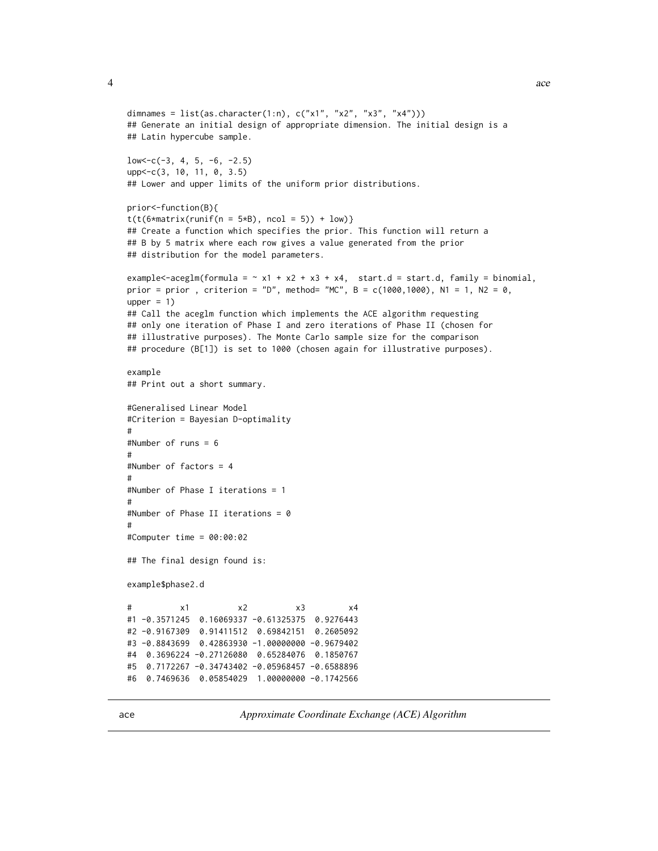```
dimnames = list(as.character(1:n), c("x1", "x2", "x3", "x4"))## Generate an initial design of appropriate dimension. The initial design is a
## Latin hypercube sample.
low < -c(-3, 4, 5, -6, -2.5)upp<-c(3, 10, 11, 0, 3.5)
## Lower and upper limits of the uniform prior distributions.
prior<-function(B){
t(t(6*matrix(runif(n = 5*B), ncol = 5)) + low)## Create a function which specifies the prior. This function will return a
## B by 5 matrix where each row gives a value generated from the prior
## distribution for the model parameters.
example<-aceglm(formula = \sim x1 + x2 + x3 + x4, start.d = start.d, family = binomial,
prior = prior , criterion = "D", method= "MC", B = c(1000, 1000), N1 = 1, N2 = 0,
upper = 1)
## Call the aceglm function which implements the ACE algorithm requesting
## only one iteration of Phase I and zero iterations of Phase II (chosen for
## illustrative purposes). The Monte Carlo sample size for the comparison
## procedure (B[1]) is set to 1000 (chosen again for illustrative purposes).
example
## Print out a short summary.
#Generalised Linear Model
#Criterion = Bayesian D-optimality
#
#Number of runs = 6
#
#Number of factors = 4
#
#Number of Phase I iterations = 1
#
#Number of Phase II iterations = 0
#
#Computer time = 00:00:02
## The final design found is:
example$phase2.d
# x1 x2 x3 x4
#1 -0.3571245 0.16069337 -0.61325375 0.9276443
#2 -0.9167309 0.91411512 0.69842151 0.2605092
#3 -0.8843699 0.42863930 -1.00000000 -0.9679402
#4 0.3696224 -0.27126080 0.65284076 0.1850767
#5 0.7172267 -0.34743402 -0.05968457 -0.6588896
#6 0.7469636 0.05854029 1.00000000 -0.1742566
```
<span id="page-3-1"></span>ace *Approximate Coordinate Exchange (ACE) Algorithm*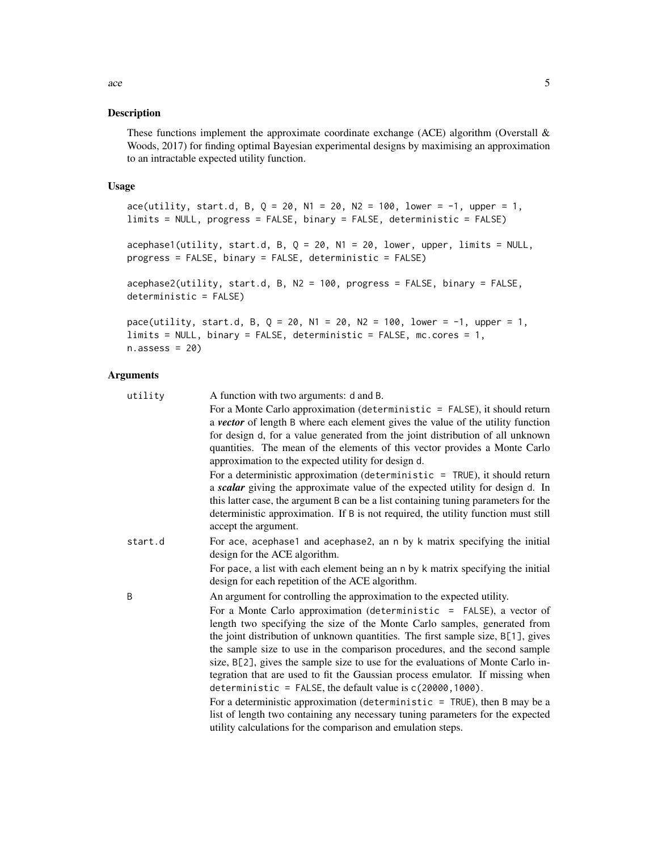#### <span id="page-4-1"></span><span id="page-4-0"></span>Description

These functions implement the approximate coordinate exchange (ACE) algorithm (Overstall  $\&$ Woods, 2017) for finding optimal Bayesian experimental designs by maximising an approximation to an intractable expected utility function.

### Usage

```
ace(utility, start.d, B, Q = 20, N1 = 20, N2 = 100, lower = -1, upper = 1,
limits = NULL, progress = FALSE, binary = FALSE, deterministic = FALSE)
acephase1 (utility, start.d, B, Q = 20, N1 = 20, lower, upper, limits = NULL,progress = FALSE, binary = FALSE, deterministic = FALSE)
acephase2(utility, start.d, B, N2 = 100, progress = FALSE, binary = FALSE,
deterministic = FALSE)
pace(utility, start.d, B, Q = 20, N1 = 20, N2 = 100, lower = -1, upper = 1,
limits = NULL, binary = FALSE, deterministic = FALSE, mc.cores = 1,
```
 $n \text{.} \text{assess} = 20$ 

### Arguments

| utility | A function with two arguments: d and B.                                                                    |
|---------|------------------------------------------------------------------------------------------------------------|
|         | For a Monte Carlo approximation (deterministic $=$ FALSE), it should return                                |
|         | a vector of length B where each element gives the value of the utility function                            |
|         | for design d, for a value generated from the joint distribution of all unknown                             |
|         | quantities. The mean of the elements of this vector provides a Monte Carlo                                 |
|         | approximation to the expected utility for design d.                                                        |
|         | For a deterministic approximation (deterministic $=$ TRUE), it should return                               |
|         | a scalar giving the approximate value of the expected utility for design d. In                             |
|         | this latter case, the argument B can be a list containing tuning parameters for the                        |
|         | deterministic approximation. If B is not required, the utility function must still<br>accept the argument. |
| start.d | For ace, acephase1 and acephase2, an n by k matrix specifying the initial                                  |
|         | design for the ACE algorithm.                                                                              |
|         | For pace, a list with each element being an n by k matrix specifying the initial                           |
|         | design for each repetition of the ACE algorithm.                                                           |
| B       | An argument for controlling the approximation to the expected utility.                                     |
|         | For a Monte Carlo approximation (deterministic = FALSE), a vector of                                       |
|         | length two specifying the size of the Monte Carlo samples, generated from                                  |
|         | the joint distribution of unknown quantities. The first sample size, B[1], gives                           |
|         | the sample size to use in the comparison procedures, and the second sample                                 |
|         | size, B[2], gives the sample size to use for the evaluations of Monte Carlo in-                            |
|         | tegration that are used to fit the Gaussian process emulator. If missing when                              |
|         | deterministic = FALSE, the default value is $c(20000, 1000)$ .                                             |
|         | For a deterministic approximation (deterministic $=$ TRUE), then B may be a                                |
|         | list of length two containing any necessary tuning parameters for the expected                             |
|         | utility calculations for the comparison and emulation steps.                                               |
|         |                                                                                                            |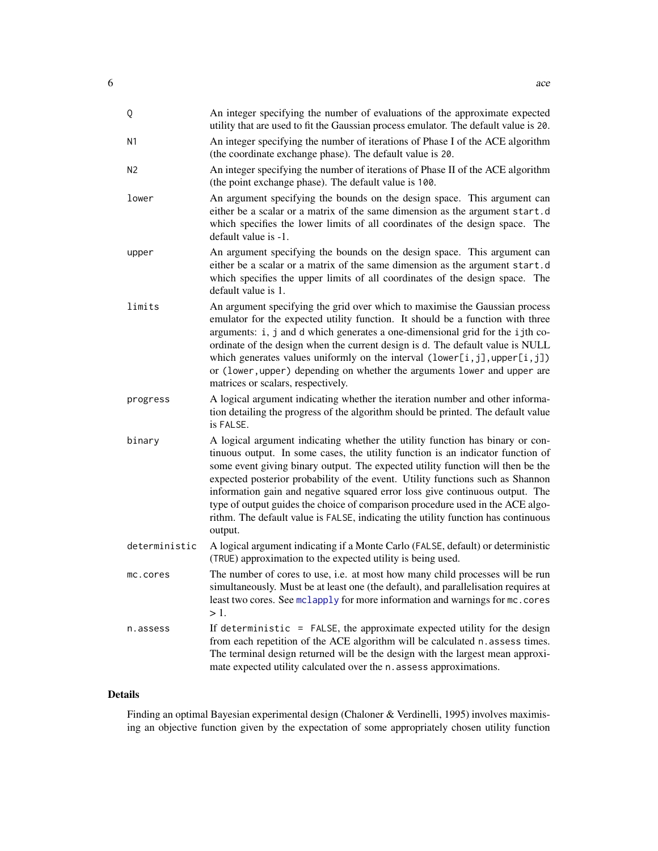<span id="page-5-0"></span>

| Q              | An integer specifying the number of evaluations of the approximate expected<br>utility that are used to fit the Gaussian process emulator. The default value is 20.                                                                                                                                                                                                                                                                                                                                                                                                                                     |
|----------------|---------------------------------------------------------------------------------------------------------------------------------------------------------------------------------------------------------------------------------------------------------------------------------------------------------------------------------------------------------------------------------------------------------------------------------------------------------------------------------------------------------------------------------------------------------------------------------------------------------|
| N <sub>1</sub> | An integer specifying the number of iterations of Phase I of the ACE algorithm<br>(the coordinate exchange phase). The default value is 20.                                                                                                                                                                                                                                                                                                                                                                                                                                                             |
| N <sub>2</sub> | An integer specifying the number of iterations of Phase II of the ACE algorithm<br>(the point exchange phase). The default value is 100.                                                                                                                                                                                                                                                                                                                                                                                                                                                                |
| lower          | An argument specifying the bounds on the design space. This argument can<br>either be a scalar or a matrix of the same dimension as the argument start.d<br>which specifies the lower limits of all coordinates of the design space. The<br>default value is -1.                                                                                                                                                                                                                                                                                                                                        |
| upper          | An argument specifying the bounds on the design space. This argument can<br>either be a scalar or a matrix of the same dimension as the argument start.d<br>which specifies the upper limits of all coordinates of the design space. The<br>default value is 1.                                                                                                                                                                                                                                                                                                                                         |
| limits         | An argument specifying the grid over which to maximise the Gaussian process<br>emulator for the expected utility function. It should be a function with three<br>arguments: i, j and d which generates a one-dimensional grid for the ijth co-<br>ordinate of the design when the current design is d. The default value is NULL<br>which generates values uniformly on the interval $(lower[i,j], upper[i,j])$<br>or (lower, upper) depending on whether the arguments lower and upper are<br>matrices or scalars, respectively.                                                                       |
| progress       | A logical argument indicating whether the iteration number and other informa-<br>tion detailing the progress of the algorithm should be printed. The default value<br>is FALSE.                                                                                                                                                                                                                                                                                                                                                                                                                         |
| binary         | A logical argument indicating whether the utility function has binary or con-<br>tinuous output. In some cases, the utility function is an indicator function of<br>some event giving binary output. The expected utility function will then be the<br>expected posterior probability of the event. Utility functions such as Shannon<br>information gain and negative squared error loss give continuous output. The<br>type of output guides the choice of comparison procedure used in the ACE algo-<br>rithm. The default value is FALSE, indicating the utility function has continuous<br>output. |
| deterministic  | A logical argument indicating if a Monte Carlo (FALSE, default) or deterministic<br>(TRUE) approximation to the expected utility is being used.                                                                                                                                                                                                                                                                                                                                                                                                                                                         |
| mc.cores       | The number of cores to use, i.e. at most how many child processes will be run<br>simultaneously. Must be at least one (the default), and parallelisation requires at<br>least two cores. See mclapply for more information and warnings for mc. cores<br>$>1$ .                                                                                                                                                                                                                                                                                                                                         |
| n.assess       | If deterministic $=$ FALSE, the approximate expected utility for the design<br>from each repetition of the ACE algorithm will be calculated n. assess times.<br>The terminal design returned will be the design with the largest mean approxi-<br>mate expected utility calculated over the n. assess approximations.                                                                                                                                                                                                                                                                                   |

### Details

Finding an optimal Bayesian experimental design (Chaloner & Verdinelli, 1995) involves maximising an objective function given by the expectation of some appropriately chosen utility function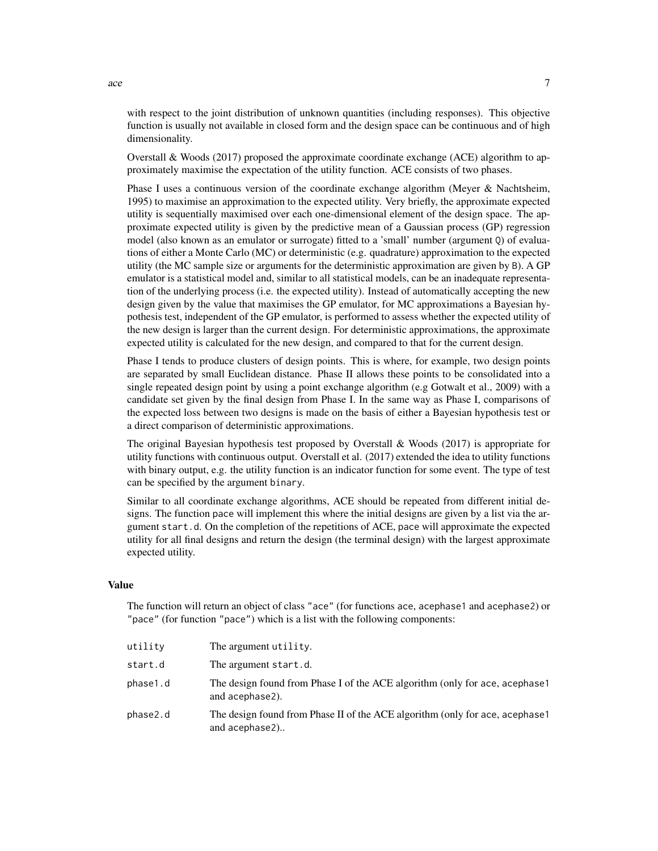with respect to the joint distribution of unknown quantities (including responses). This objective function is usually not available in closed form and the design space can be continuous and of high dimensionality.

Overstall & Woods (2017) proposed the approximate coordinate exchange (ACE) algorithm to approximately maximise the expectation of the utility function. ACE consists of two phases.

Phase I uses a continuous version of the coordinate exchange algorithm (Meyer & Nachtsheim, 1995) to maximise an approximation to the expected utility. Very briefly, the approximate expected utility is sequentially maximised over each one-dimensional element of the design space. The approximate expected utility is given by the predictive mean of a Gaussian process (GP) regression model (also known as an emulator or surrogate) fitted to a 'small' number (argument Q) of evaluations of either a Monte Carlo (MC) or deterministic (e.g. quadrature) approximation to the expected utility (the MC sample size or arguments for the deterministic approximation are given by B). A GP emulator is a statistical model and, similar to all statistical models, can be an inadequate representation of the underlying process (i.e. the expected utility). Instead of automatically accepting the new design given by the value that maximises the GP emulator, for MC approximations a Bayesian hypothesis test, independent of the GP emulator, is performed to assess whether the expected utility of the new design is larger than the current design. For deterministic approximations, the approximate expected utility is calculated for the new design, and compared to that for the current design.

Phase I tends to produce clusters of design points. This is where, for example, two design points are separated by small Euclidean distance. Phase II allows these points to be consolidated into a single repeated design point by using a point exchange algorithm (e.g Gotwalt et al., 2009) with a candidate set given by the final design from Phase I. In the same way as Phase I, comparisons of the expected loss between two designs is made on the basis of either a Bayesian hypothesis test or a direct comparison of deterministic approximations.

The original Bayesian hypothesis test proposed by Overstall  $\&$  Woods (2017) is appropriate for utility functions with continuous output. Overstall et al. (2017) extended the idea to utility functions with binary output, e.g. the utility function is an indicator function for some event. The type of test can be specified by the argument binary.

Similar to all coordinate exchange algorithms, ACE should be repeated from different initial designs. The function pace will implement this where the initial designs are given by a list via the argument start.d. On the completion of the repetitions of ACE, pace will approximate the expected utility for all final designs and return the design (the terminal design) with the largest approximate expected utility.

### Value

The function will return an object of class "ace" (for functions ace, acephase1 and acephase2) or "pace" (for function "pace") which is a list with the following components:

| utilitv  | The argument utility.                                                                          |
|----------|------------------------------------------------------------------------------------------------|
| start.d  | The argument start.d.                                                                          |
| phase1.d | The design found from Phase I of the ACE algorithm (only for ace, acephase1<br>and acephase2). |
| phase2.d | The design found from Phase II of the ACE algorithm (only for ace, acephase1<br>and acephase2) |

ace  $\sim$  7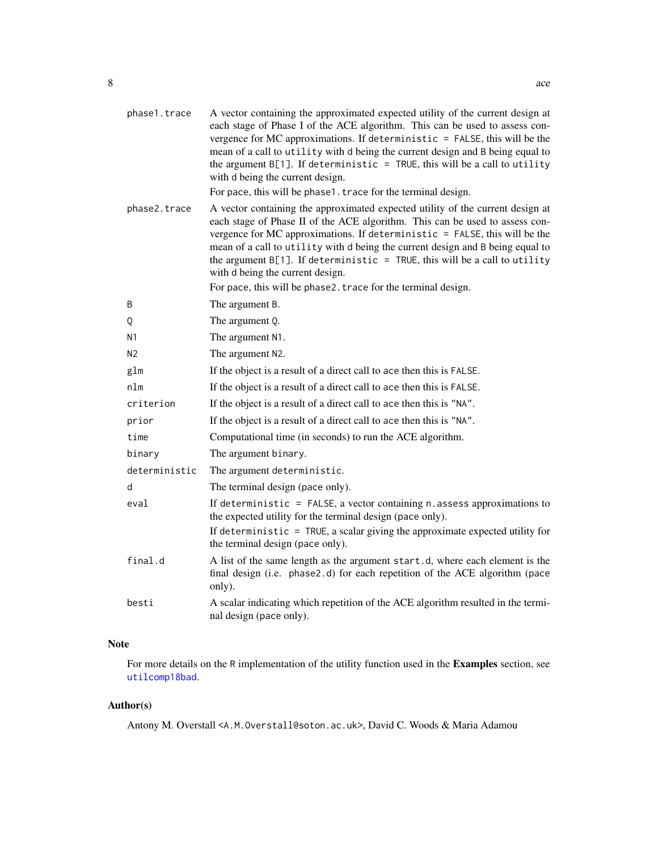<span id="page-7-0"></span>

| phase1.trace   | A vector containing the approximated expected utility of the current design at<br>each stage of Phase I of the ACE algorithm. This can be used to assess con-<br>vergence for MC approximations. If deterministic $=$ FALSE, this will be the<br>mean of a call to utility with d being the current design and B being equal to<br>the argument $B[1]$ . If deterministic = TRUE, this will be a call to utility<br>with d being the current design.<br>For pace, this will be phase1. trace for the terminal design.  |
|----------------|------------------------------------------------------------------------------------------------------------------------------------------------------------------------------------------------------------------------------------------------------------------------------------------------------------------------------------------------------------------------------------------------------------------------------------------------------------------------------------------------------------------------|
| phase2.trace   | A vector containing the approximated expected utility of the current design at<br>each stage of Phase II of the ACE algorithm. This can be used to assess con-<br>vergence for MC approximations. If deterministic $=$ FALSE, this will be the<br>mean of a call to utility with d being the current design and B being equal to<br>the argument $B[1]$ . If deterministic = TRUE, this will be a call to utility<br>with d being the current design.<br>For pace, this will be phase2. trace for the terminal design. |
| B              | The argument B.                                                                                                                                                                                                                                                                                                                                                                                                                                                                                                        |
| Q              | The argument Q.                                                                                                                                                                                                                                                                                                                                                                                                                                                                                                        |
| N <sub>1</sub> | The argument N1.                                                                                                                                                                                                                                                                                                                                                                                                                                                                                                       |
| N <sub>2</sub> | The argument N2.                                                                                                                                                                                                                                                                                                                                                                                                                                                                                                       |
| glm            | If the object is a result of a direct call to ace then this is FALSE.                                                                                                                                                                                                                                                                                                                                                                                                                                                  |
| nlm            | If the object is a result of a direct call to ace then this is FALSE.                                                                                                                                                                                                                                                                                                                                                                                                                                                  |
| criterion      | If the object is a result of a direct call to ace then this is "NA".                                                                                                                                                                                                                                                                                                                                                                                                                                                   |
| prior          | If the object is a result of a direct call to ace then this is "NA".                                                                                                                                                                                                                                                                                                                                                                                                                                                   |
| time           | Computational time (in seconds) to run the ACE algorithm.                                                                                                                                                                                                                                                                                                                                                                                                                                                              |
| binary         | The argument binary.                                                                                                                                                                                                                                                                                                                                                                                                                                                                                                   |
| deterministic  | The argument deterministic.                                                                                                                                                                                                                                                                                                                                                                                                                                                                                            |
| d              | The terminal design (pace only).                                                                                                                                                                                                                                                                                                                                                                                                                                                                                       |
| eval           | If deterministic = FALSE, a vector containing $n$ . assess approximations to<br>the expected utility for the terminal design (pace only).                                                                                                                                                                                                                                                                                                                                                                              |
|                | If deterministic = TRUE, a scalar giving the approximate expected utility for<br>the terminal design (pace only).                                                                                                                                                                                                                                                                                                                                                                                                      |
| final.d        | A list of the same length as the argument start.d, where each element is the<br>final design (i.e. phase2.d) for each repetition of the ACE algorithm (pace<br>only).                                                                                                                                                                                                                                                                                                                                                  |
| besti          | A scalar indicating which repetition of the ACE algorithm resulted in the termi-<br>nal design (pace only).                                                                                                                                                                                                                                                                                                                                                                                                            |

### Note

For more details on the R implementation of the utility function used in the Examples section, see [utilcomp18bad](#page-27-1).

### Author(s)

Antony M. Overstall <A.M.Overstall@soton.ac.uk>, David C. Woods & Maria Adamou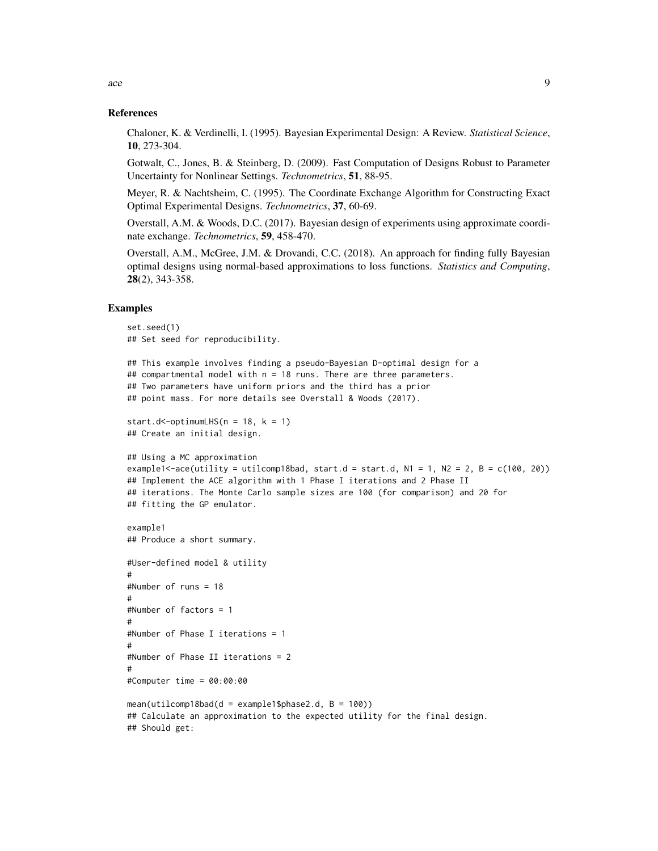### References

Chaloner, K. & Verdinelli, I. (1995). Bayesian Experimental Design: A Review. *Statistical Science*, 10, 273-304.

Gotwalt, C., Jones, B. & Steinberg, D. (2009). Fast Computation of Designs Robust to Parameter Uncertainty for Nonlinear Settings. *Technometrics*, 51, 88-95.

Meyer, R. & Nachtsheim, C. (1995). The Coordinate Exchange Algorithm for Constructing Exact Optimal Experimental Designs. *Technometrics*, 37, 60-69.

Overstall, A.M. & Woods, D.C. (2017). Bayesian design of experiments using approximate coordinate exchange. *Technometrics*, 59, 458-470.

Overstall, A.M., McGree, J.M. & Drovandi, C.C. (2018). An approach for finding fully Bayesian optimal designs using normal-based approximations to loss functions. *Statistics and Computing*, 28(2), 343-358.

### Examples

```
set.seed(1)
## Set seed for reproducibility.
## This example involves finding a pseudo-Bayesian D-optimal design for a
## compartmental model with n = 18 runs. There are three parameters.
## Two parameters have uniform priors and the third has a prior
## point mass. For more details see Overstall & Woods (2017).
start.d<-optimumLHS(n = 18, k = 1)
## Create an initial design.
## Using a MC approximation
example1<-ace(utility = utilcomp18bad, start.d = start.d, N1 = 1, N2 = 2, B = c(100, 20))
## Implement the ACE algorithm with 1 Phase I iterations and 2 Phase II
## iterations. The Monte Carlo sample sizes are 100 (for comparison) and 20 for
## fitting the GP emulator.
example1
## Produce a short summary.
#User-defined model & utility
#
#Number of runs = 18
#
#Number of factors = 1
#
#Number of Phase I iterations = 1
#
#Number of Phase II iterations = 2
#
#Computer time = 00:00:00
mean(utilcomp18bad(d = example1$phase2.d, B = 100))## Calculate an approximation to the expected utility for the final design.
## Should get:
```
ace 9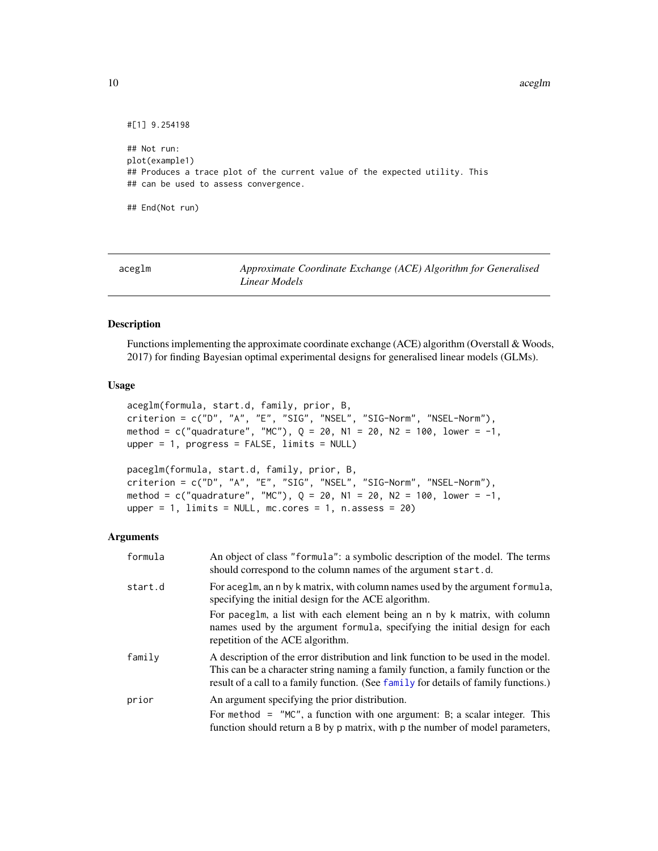10 aceglm

```
#[1] 9.254198
## Not run:
plot(example1)
## Produces a trace plot of the current value of the expected utility. This
## can be used to assess convergence.
## End(Not run)
```
<span id="page-9-1"></span>

| aceglm | Approximate Coordinate Exchange (ACE) Algorithm for Generalised |
|--------|-----------------------------------------------------------------|
|        | Linear Models                                                   |

### <span id="page-9-2"></span>Description

Functions implementing the approximate coordinate exchange (ACE) algorithm (Overstall & Woods, 2017) for finding Bayesian optimal experimental designs for generalised linear models (GLMs).

### Usage

```
aceglm(formula, start.d, family, prior, B,
criterion = c("D", "A", "E", "SIG", "NSEL", "SIG-Norm", "NSEL-Norm"),
method = c("quadrature", "MC"), Q = 20, N1 = 20, N2 = 100, lower = -1,upper = 1, progress = FALSE, limits = NULL)
```

```
paceglm(formula, start.d, family, prior, B,
criterion = c("D", "A", "E", "SIG", "NSEL", "SIG-Norm", "NSEL-Norm"),
method = c("quadrature", "MC"), Q = 20, N1 = 20, N2 = 100, lower = -1,upper = 1, limits = NULL, mc.cores = 1, n.assess = 20)
```
### Arguments

| formula | An object of class "formula": a symbolic description of the model. The terms<br>should correspond to the column names of the argument start.d.                                                                                                                  |
|---------|-----------------------------------------------------------------------------------------------------------------------------------------------------------------------------------------------------------------------------------------------------------------|
| start.d | For aceglm, an n by k matrix, with column names used by the argument formula,<br>specifying the initial design for the ACE algorithm.                                                                                                                           |
|         | For paceglm, a list with each element being an n by k matrix, with column<br>names used by the argument formula, specifying the initial design for each<br>repetition of the ACE algorithm.                                                                     |
| family  | A description of the error distribution and link function to be used in the model.<br>This can be a character string naming a family function, a family function or the<br>result of a call to a family function. (See family for details of family functions.) |
| prior   | An argument specifying the prior distribution.<br>For method $=$ "MC", a function with one argument: B; a scalar integer. This<br>function should return a B by p matrix, with p the number of model parameters,                                                |

<span id="page-9-0"></span>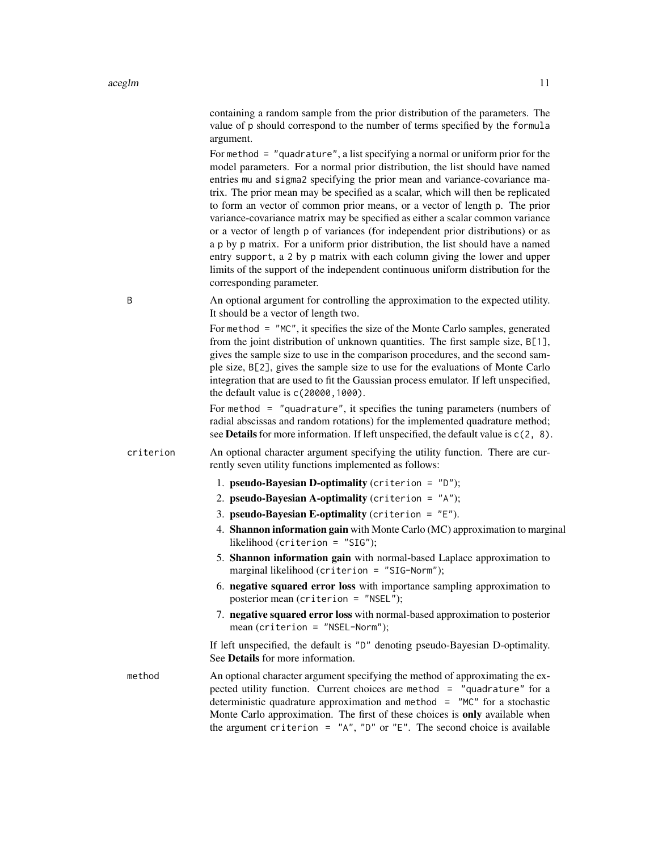containing a random sample from the prior distribution of the parameters. The value of p should correspond to the number of terms specified by the formula argument.

For method = "quadrature", a list specifying a normal or uniform prior for the model parameters. For a normal prior distribution, the list should have named entries mu and sigma2 specifying the prior mean and variance-covariance matrix. The prior mean may be specified as a scalar, which will then be replicated to form an vector of common prior means, or a vector of length p. The prior variance-covariance matrix may be specified as either a scalar common variance or a vector of length p of variances (for independent prior distributions) or as a p by p matrix. For a uniform prior distribution, the list should have a named entry support, a 2 by p matrix with each column giving the lower and upper limits of the support of the independent continuous uniform distribution for the corresponding parameter.

B An optional argument for controlling the approximation to the expected utility. It should be a vector of length two.

> For method = "MC", it specifies the size of the Monte Carlo samples, generated from the joint distribution of unknown quantities. The first sample size, B[1], gives the sample size to use in the comparison procedures, and the second sample size, B[2], gives the sample size to use for the evaluations of Monte Carlo integration that are used to fit the Gaussian process emulator. If left unspecified, the default value is c(20000,1000).

> For method = "quadrature", it specifies the tuning parameters (numbers of radial abscissas and random rotations) for the implemented quadrature method; see **Details** for more information. If left unspecified, the default value is  $c(2, 8)$ .

criterion An optional character argument specifying the utility function. There are currently seven utility functions implemented as follows:

- 1. pseudo-Bayesian D-optimality (criterion = "D");
- 2. pseudo-Bayesian A-optimality (criterion =  $"A"$ );
- 3. pseudo-Bayesian E-optimality (criterion =  $"E"$ ).
- 4. Shannon information gain with Monte Carlo (MC) approximation to marginal likelihood (criterion = "SIG");
- 5. Shannon information gain with normal-based Laplace approximation to marginal likelihood (criterion = "SIG-Norm");
- 6. negative squared error loss with importance sampling approximation to posterior mean (criterion = "NSEL");
- 7. negative squared error loss with normal-based approximation to posterior mean (criterion = "NSEL-Norm");

If left unspecified, the default is "D" denoting pseudo-Bayesian D-optimality. See Details for more information.

method An optional character argument specifying the method of approximating the expected utility function. Current choices are method = "quadrature" for a deterministic quadrature approximation and method  $=$  "MC" for a stochastic Monte Carlo approximation. The first of these choices is only available when the argument criterion =  $'A''$ , "D" or "E". The second choice is available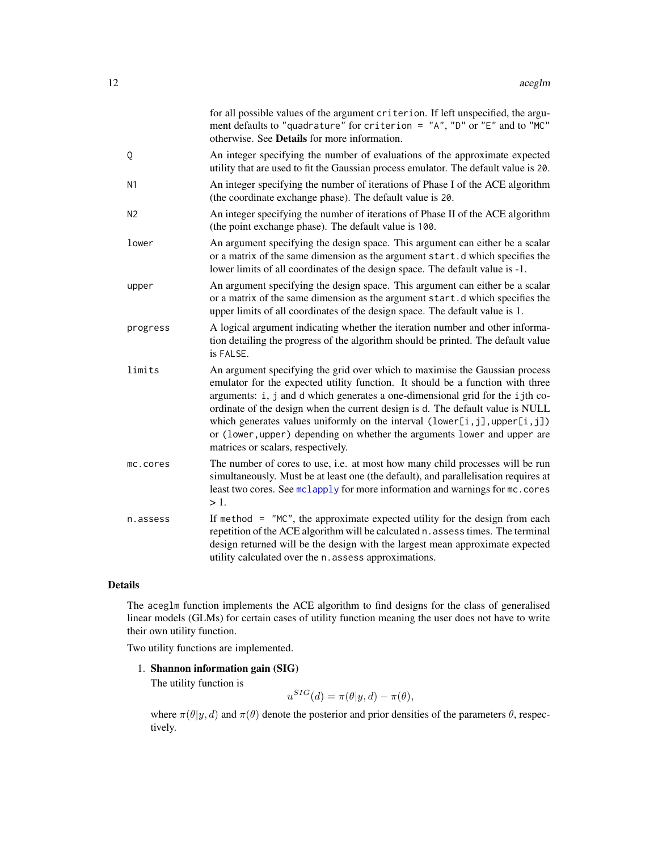<span id="page-11-0"></span>

|                | for all possible values of the argument criterion. If left unspecified, the argu-<br>ment defaults to "quadrature" for criterion = $'A''$ , "D" or "E" and to "MC"<br>otherwise. See Details for more information.                                                                                                                                                                                                                                                                                                                |
|----------------|-----------------------------------------------------------------------------------------------------------------------------------------------------------------------------------------------------------------------------------------------------------------------------------------------------------------------------------------------------------------------------------------------------------------------------------------------------------------------------------------------------------------------------------|
| Q              | An integer specifying the number of evaluations of the approximate expected<br>utility that are used to fit the Gaussian process emulator. The default value is 20.                                                                                                                                                                                                                                                                                                                                                               |
| N <sub>1</sub> | An integer specifying the number of iterations of Phase I of the ACE algorithm<br>(the coordinate exchange phase). The default value is 20.                                                                                                                                                                                                                                                                                                                                                                                       |
| N <sub>2</sub> | An integer specifying the number of iterations of Phase II of the ACE algorithm<br>(the point exchange phase). The default value is 100.                                                                                                                                                                                                                                                                                                                                                                                          |
| lower          | An argument specifying the design space. This argument can either be a scalar<br>or a matrix of the same dimension as the argument start.d which specifies the<br>lower limits of all coordinates of the design space. The default value is -1.                                                                                                                                                                                                                                                                                   |
| upper          | An argument specifying the design space. This argument can either be a scalar<br>or a matrix of the same dimension as the argument start.d which specifies the<br>upper limits of all coordinates of the design space. The default value is 1.                                                                                                                                                                                                                                                                                    |
| progress       | A logical argument indicating whether the iteration number and other informa-<br>tion detailing the progress of the algorithm should be printed. The default value<br>is FALSE.                                                                                                                                                                                                                                                                                                                                                   |
| limits         | An argument specifying the grid over which to maximise the Gaussian process<br>emulator for the expected utility function. It should be a function with three<br>arguments: i, j and d which generates a one-dimensional grid for the ijth co-<br>ordinate of the design when the current design is d. The default value is NULL<br>which generates values uniformly on the interval $(lower[i,j], upper[i,j])$<br>or (lower, upper) depending on whether the arguments lower and upper are<br>matrices or scalars, respectively. |
| mc.cores       | The number of cores to use, i.e. at most how many child processes will be run<br>simultaneously. Must be at least one (the default), and parallelisation requires at<br>least two cores. See mclapply for more information and warnings for mc. cores<br>$>1$ .                                                                                                                                                                                                                                                                   |
| n.assess       | If method $=$ "MC", the approximate expected utility for the design from each<br>repetition of the ACE algorithm will be calculated n. assess times. The terminal<br>design returned will be the design with the largest mean approximate expected<br>utility calculated over the n. assess approximations.                                                                                                                                                                                                                       |

### Details

The aceglm function implements the ACE algorithm to find designs for the class of generalised linear models (GLMs) for certain cases of utility function meaning the user does not have to write their own utility function.

Two utility functions are implemented.

### 1. Shannon information gain (SIG)

The utility function is

$$
u^{SIG}(d) = \pi(\theta | y, d) - \pi(\theta),
$$

where  $\pi(\theta|y, d)$  and  $\pi(\theta)$  denote the posterior and prior densities of the parameters  $\theta$ , respectively.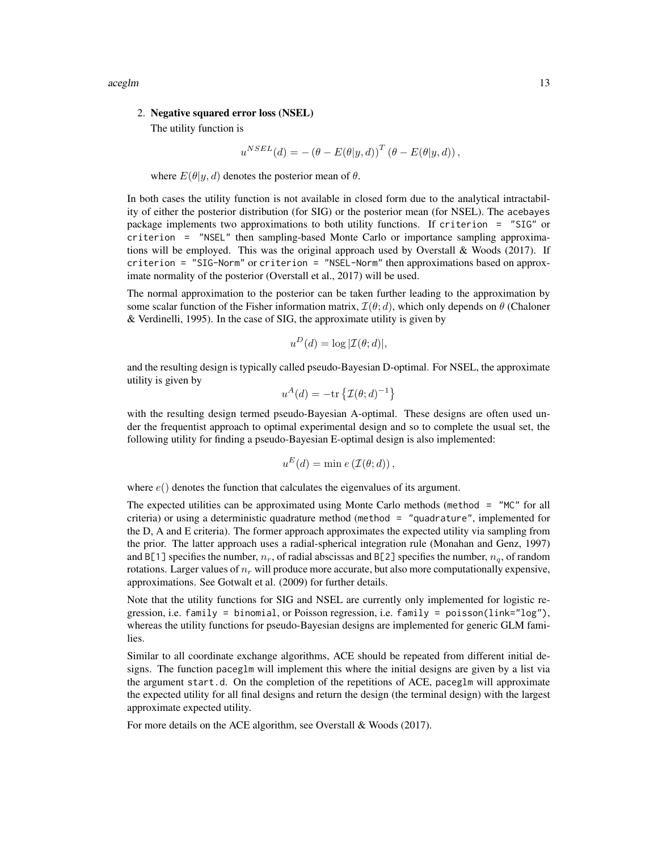aceglm and the state of the state of the state of the state of the state of the state of the state of the state of the state of the state of the state of the state of the state of the state of the state of the state of the

### 2. Negative squared error loss (NSEL)

The utility function is

$$
u^{NSEL}(d) = -(\theta - E(\theta | y, d))^T (\theta - E(\theta | y, d)),
$$

where  $E(\theta | y, d)$  denotes the posterior mean of  $\theta$ .

In both cases the utility function is not available in closed form due to the analytical intractability of either the posterior distribution (for SIG) or the posterior mean (for NSEL). The acebayes package implements two approximations to both utility functions. If criterion = "SIG" or criterion = "NSEL" then sampling-based Monte Carlo or importance sampling approximations will be employed. This was the original approach used by Overstall & Woods (2017). If criterion = "SIG-Norm" or criterion = "NSEL-Norm" then approximations based on approximate normality of the posterior (Overstall et al., 2017) will be used.

The normal approximation to the posterior can be taken further leading to the approximation by some scalar function of the Fisher information matrix,  $\mathcal{I}(\theta; d)$ , which only depends on  $\theta$  (Chaloner & Verdinelli, 1995). In the case of SIG, the approximate utility is given by

$$
u^D(d) = \log |\mathcal{I}(\theta; d)|,
$$

and the resulting design is typically called pseudo-Bayesian D-optimal. For NSEL, the approximate utility is given by

$$
u^A(d) = -\text{tr}\left\{ \mathcal{I}(\theta; d)^{-1} \right\}
$$

with the resulting design termed pseudo-Bayesian A-optimal. These designs are often used under the frequentist approach to optimal experimental design and so to complete the usual set, the following utility for finding a pseudo-Bayesian E-optimal design is also implemented:

$$
u^{E}(d) = \min e(\mathcal{I}(\theta; d)),
$$

where  $e()$  denotes the function that calculates the eigenvalues of its argument.

The expected utilities can be approximated using Monte Carlo methods (method = "MC" for all criteria) or using a deterministic quadrature method (method = "quadrature", implemented for the D, A and E criteria). The former approach approximates the expected utility via sampling from the prior. The latter approach uses a radial-spherical integration rule (Monahan and Genz, 1997) and B[1] specifies the number,  $n_r$ , of radial abscissas and B[2] specifies the number,  $n_a$ , of random rotations. Larger values of  $n_r$  will produce more accurate, but also more computationally expensive, approximations. See Gotwalt et al. (2009) for further details.

Note that the utility functions for SIG and NSEL are currently only implemented for logistic regression, i.e. family = binomial, or Poisson regression, i.e. family = poisson(link="log"), whereas the utility functions for pseudo-Bayesian designs are implemented for generic GLM families.

Similar to all coordinate exchange algorithms, ACE should be repeated from different initial designs. The function paceglm will implement this where the initial designs are given by a list via the argument start.d. On the completion of the repetitions of ACE, paceglm will approximate the expected utility for all final designs and return the design (the terminal design) with the largest approximate expected utility.

For more details on the ACE algorithm, see Overstall & Woods (2017).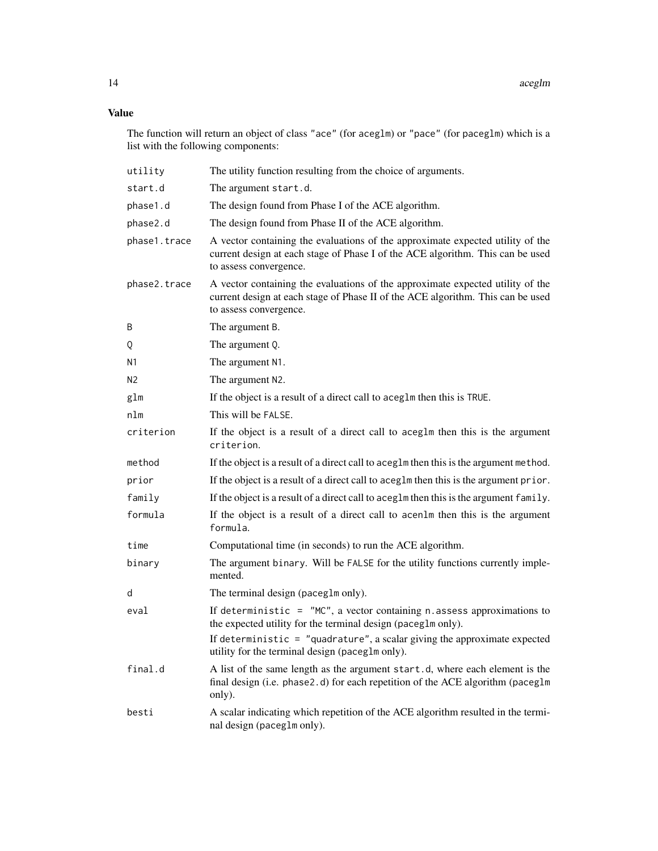### Value

The function will return an object of class "ace" (for aceglm) or "pace" (for paceglm) which is a list with the following components:

| utility        | The utility function resulting from the choice of arguments.                                                                                                                                |
|----------------|---------------------------------------------------------------------------------------------------------------------------------------------------------------------------------------------|
| start.d        | The argument start.d.                                                                                                                                                                       |
| phase1.d       | The design found from Phase I of the ACE algorithm.                                                                                                                                         |
| phase2.d       | The design found from Phase II of the ACE algorithm.                                                                                                                                        |
| phase1.trace   | A vector containing the evaluations of the approximate expected utility of the<br>current design at each stage of Phase I of the ACE algorithm. This can be used<br>to assess convergence.  |
| phase2.trace   | A vector containing the evaluations of the approximate expected utility of the<br>current design at each stage of Phase II of the ACE algorithm. This can be used<br>to assess convergence. |
| B              | The argument B.                                                                                                                                                                             |
| Q              | The argument Q.                                                                                                                                                                             |
| N1             | The argument N1.                                                                                                                                                                            |
| N <sub>2</sub> | The argument N2.                                                                                                                                                                            |
| glm            | If the object is a result of a direct call to aceg1m then this is TRUE.                                                                                                                     |
| nlm            | This will be FALSE.                                                                                                                                                                         |
| criterion      | If the object is a result of a direct call to aceg1m then this is the argument<br>criterion.                                                                                                |
| method         | If the object is a result of a direct call to aceg1m then this is the argument method.                                                                                                      |
| prior          | If the object is a result of a direct call to aceg1m then this is the argument prior.                                                                                                       |
| family         | If the object is a result of a direct call to aceg1m then this is the argument family.                                                                                                      |
| formula        | If the object is a result of a direct call to acen1m then this is the argument<br>formula.                                                                                                  |
| time           | Computational time (in seconds) to run the ACE algorithm.                                                                                                                                   |
| binary         | The argument binary. Will be FALSE for the utility functions currently imple-<br>mented.                                                                                                    |
| d              | The terminal design (paceglm only).                                                                                                                                                         |
| eval           | If deterministic = $\degree$ MC", a vector containing n. assess approximations to<br>the expected utility for the terminal design (paceg1m only).                                           |
|                | If deterministic = $"quadratic"$ , a scalar giving the approximate expected<br>utility for the terminal design (paceg1m only).                                                              |
| final.d        | A list of the same length as the argument start.d, where each element is the<br>final design (i.e. phase2.d) for each repetition of the ACE algorithm (paceglm<br>only).                    |
| besti          | A scalar indicating which repetition of the ACE algorithm resulted in the termi-<br>nal design (paceglm only).                                                                              |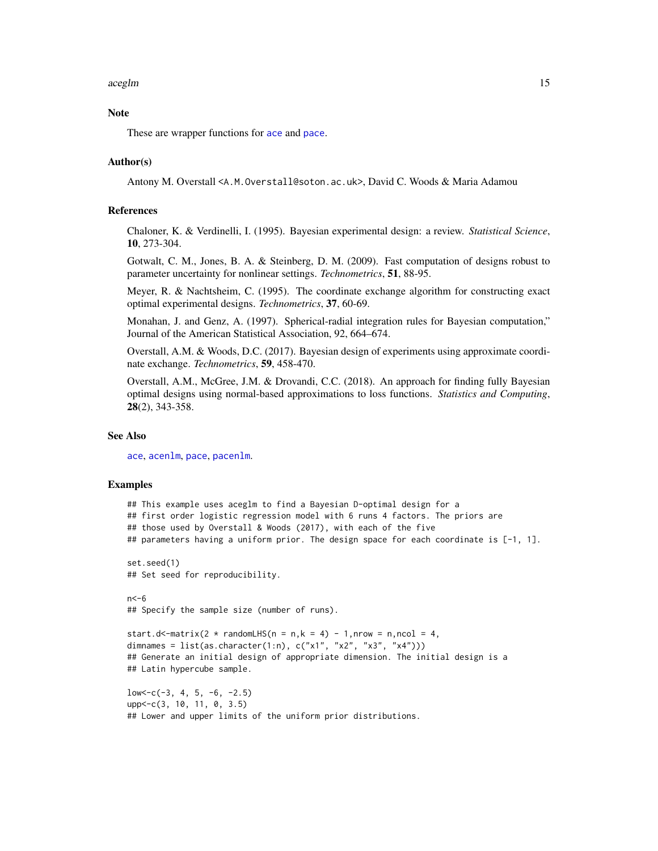### <span id="page-14-0"></span>aceglm that the contract of the contract of the contract of the contract of the contract of the contract of the contract of the contract of the contract of the contract of the contract of the contract of the contract of th

### Note

These are wrapper functions for [ace](#page-3-1) and [pace](#page-4-0).

### Author(s)

Antony M. Overstall <A.M.Overstall@soton.ac.uk>, David C. Woods & Maria Adamou

### References

Chaloner, K. & Verdinelli, I. (1995). Bayesian experimental design: a review. *Statistical Science*, 10, 273-304.

Gotwalt, C. M., Jones, B. A. & Steinberg, D. M. (2009). Fast computation of designs robust to parameter uncertainty for nonlinear settings. *Technometrics*, 51, 88-95.

Meyer, R. & Nachtsheim, C. (1995). The coordinate exchange algorithm for constructing exact optimal experimental designs. *Technometrics*, 37, 60-69.

Monahan, J. and Genz, A. (1997). Spherical-radial integration rules for Bayesian computation," Journal of the American Statistical Association, 92, 664–674.

Overstall, A.M. & Woods, D.C. (2017). Bayesian design of experiments using approximate coordinate exchange. *Technometrics*, 59, 458-470.

Overstall, A.M., McGree, J.M. & Drovandi, C.C. (2018). An approach for finding fully Bayesian optimal designs using normal-based approximations to loss functions. *Statistics and Computing*, 28(2), 343-358.

### See Also

[ace](#page-3-1), [acenlm](#page-16-1), [pace](#page-4-0), [pacenlm](#page-16-2).

### Examples

```
## This example uses aceglm to find a Bayesian D-optimal design for a
## first order logistic regression model with 6 runs 4 factors. The priors are
## those used by Overstall & Woods (2017), with each of the five
## parameters having a uniform prior. The design space for each coordinate is [-1, 1].
set.seed(1)
## Set seed for reproducibility.
n < -6## Specify the sample size (number of runs).
start.d<-matrix(2 * randomLHS(n = n,k = 4) - 1,nrow = n,ncol = 4,
dimnames = list(as.character(1:n), c("x1", "x2", "x3", "x4"))## Generate an initial design of appropriate dimension. The initial design is a
## Latin hypercube sample.
low < -c(-3, 4, 5, -6, -2.5)upp<-c(3, 10, 11, 0, 3.5)
## Lower and upper limits of the uniform prior distributions.
```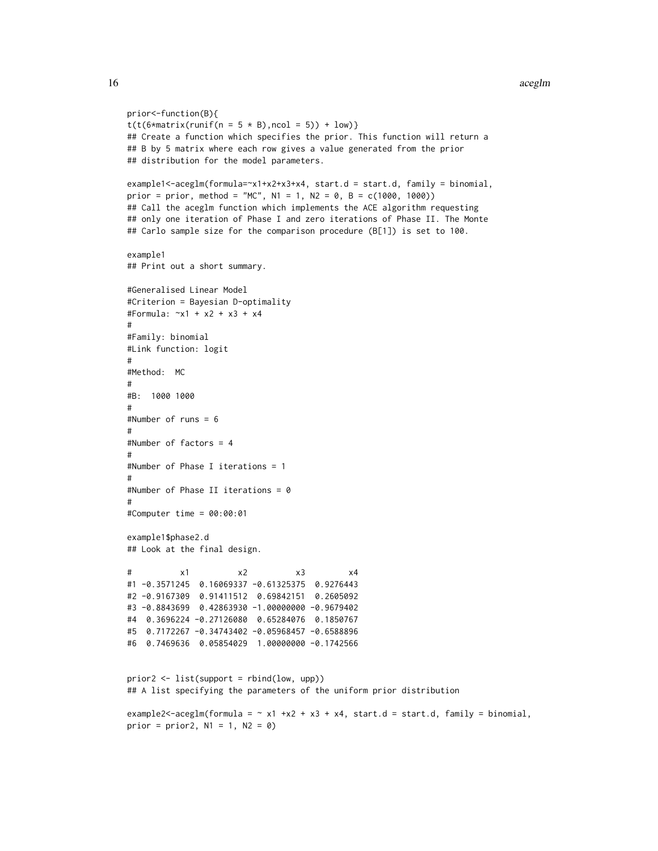```
prior<-function(B){
t(t(6*matrix(runif(n = 5 * B), ncol = 5)) + low)}
## Create a function which specifies the prior. This function will return a
## B by 5 matrix where each row gives a value generated from the prior
## distribution for the model parameters.
example1<-aceglm(formula=~x1+x2+x3+x4, start.d = start.d, family = binomial,
prior = prior, method = "MC", N1 = 1, N2 = 0, B = c(1000, 1000))
## Call the aceglm function which implements the ACE algorithm requesting
## only one iteration of Phase I and zero iterations of Phase II. The Monte
## Carlo sample size for the comparison procedure (B[1]) is set to 100.
example1
## Print out a short summary.
#Generalised Linear Model
#Criterion = Bayesian D-optimality
#Formula: ~x1 + x2 + x3 + x4
#
#Family: binomial
#Link function: logit
#
#Method: MC
#
#B: 1000 1000
#
#Number of runs = 6
#
#Number of factors = 4
#
#Number of Phase I iterations = 1
#
#Number of Phase II iterations = 0
#
#Computer time = 00:00:01
example1$phase2.d
## Look at the final design.
# x1 x2 x3 x4
#1 -0.3571245 0.16069337 -0.61325375 0.9276443
#2 -0.9167309 0.91411512 0.69842151 0.2605092
#3 -0.8843699 0.42863930 -1.00000000 -0.9679402
#4 0.3696224 -0.27126080 0.65284076 0.1850767
#5 0.7172267 -0.34743402 -0.05968457 -0.6588896
#6 0.7469636 0.05854029 1.00000000 -0.1742566
prior2 <- list(support = rbind(low, upp))
## A list specifying the parameters of the uniform prior distribution
example2<-aceglm(formula = \sim x1 +x2 + x3 + x4, start.d = start.d, family = binomial,
prior = prior2, N1 = 1, N2 = 0)
```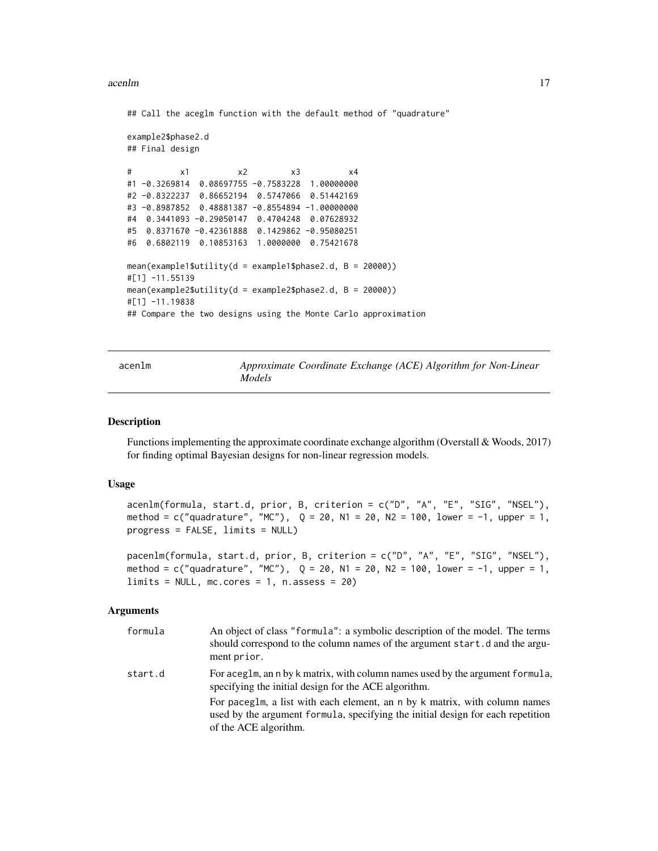### <span id="page-16-0"></span>acenlm and the contract of the contract of the contract of the contract of the contract of the contract of the contract of the contract of the contract of the contract of the contract of the contract of the contract of the

## Call the aceglm function with the default method of "quadrature"

```
example2$phase2.d
## Final design
```

```
# x1 x2 x3 x4
#1 -0.3269814 0.08697755 -0.7583228 1.00000000
#2 -0.8322237 0.86652194 0.5747066 0.51442169
#3 -0.8987852 0.48881387 -0.8554894 -1.00000000
#4 0.3441093 -0.29050147 0.4704248 0.07628932
#5 0.8371670 -0.42361888 0.1429862 -0.95080251
#6 0.6802119 0.10853163 1.0000000 0.75421678
mean(example1$utility(d = example1$phase2.d, B = 20000))
#[1] -11.55139
mean(example2$utility(d = example2$phase2.d, B = 20000))
#[1] -11.19838
## Compare the two designs using the Monte Carlo approximation
```
<span id="page-16-1"></span>acenlm *Approximate Coordinate Exchange (ACE) Algorithm for Non-Linear Models*

#### <span id="page-16-2"></span>**Description**

Functions implementing the approximate coordinate exchange algorithm (Overstall & Woods, 2017) for finding optimal Bayesian designs for non-linear regression models.

### Usage

acenlm(formula, start.d, prior, B, criterion = c("D", "A", "E", "SIG", "NSEL"), method = c("quadrature", "MC"),  $Q = 20$ , N1 = 20, N2 = 100, lower = -1, upper = 1, progress = FALSE, limits = NULL)

pacenlm(formula, start.d, prior, B, criterion = c("D", "A", "E", "SIG", "NSEL"), method = c("quadrature", "MC"),  $Q = 20$ , N1 = 20, N2 = 100, lower = -1, upper = 1,  $limits = NULL, mc.core = 1, ncases = 20)$ 

### Arguments

| formula | An object of class "formula": a symbolic description of the model. The terms<br>should correspond to the column names of the argument start.d and the argu-<br>ment prior.             |
|---------|----------------------------------------------------------------------------------------------------------------------------------------------------------------------------------------|
| start.d | For aceglm, an n by k matrix, with column names used by the argument formula,<br>specifying the initial design for the ACE algorithm.                                                  |
|         | For paceglm, a list with each element, an n by k matrix, with column names<br>used by the argument formula, specifying the initial design for each repetition<br>of the ACE algorithm. |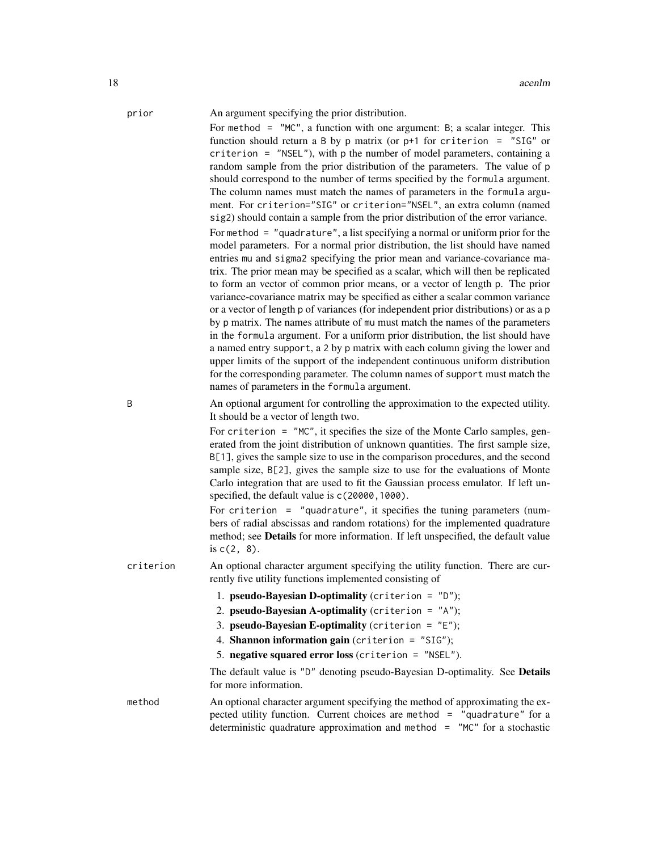### prior An argument specifying the prior distribution.

For method  $=$  "MC", a function with one argument: B; a scalar integer. This function should return a B by p matrix (or  $p+1$  for criterion = "SIG" or criterion = "NSEL"), with p the number of model parameters, containing a random sample from the prior distribution of the parameters. The value of p should correspond to the number of terms specified by the formula argument. The column names must match the names of parameters in the formula argument. For criterion="SIG" or criterion="NSEL", an extra column (named sig2) should contain a sample from the prior distribution of the error variance. For method = "quadrature", a list specifying a normal or uniform prior for the model parameters. For a normal prior distribution, the list should have named entries mu and sigma2 specifying the prior mean and variance-covariance matrix. The prior mean may be specified as a scalar, which will then be replicated to form an vector of common prior means, or a vector of length p. The prior variance-covariance matrix may be specified as either a scalar common variance or a vector of length p of variances (for independent prior distributions) or as a p by p matrix. The names attribute of mu must match the names of the parameters in the formula argument. For a uniform prior distribution, the list should have a named entry support, a 2 by p matrix with each column giving the lower and upper limits of the support of the independent continuous uniform distribution for the corresponding parameter. The column names of support must match the names of parameters in the formula argument.

B An optional argument for controlling the approximation to the expected utility. It should be a vector of length two.

> For criterion = "MC", it specifies the size of the Monte Carlo samples, generated from the joint distribution of unknown quantities. The first sample size, B[1], gives the sample size to use in the comparison procedures, and the second sample size, B[2], gives the sample size to use for the evaluations of Monte Carlo integration that are used to fit the Gaussian process emulator. If left unspecified, the default value is c(20000,1000).

> For criterion = "quadrature", it specifies the tuning parameters (numbers of radial abscissas and random rotations) for the implemented quadrature method; see Details for more information. If left unspecified, the default value is c(2, 8).

criterion An optional character argument specifying the utility function. There are currently five utility functions implemented consisting of

1. **pseudo-Bayesian D-optimality** (criterion =  $"D"$ );

- 2. pseudo-Bayesian A-optimality (criterion =  $"A"$ );
- 3. pseudo-Bayesian E-optimality (criterion =  $"E"$ );
- 4. Shannon information gain (criterion = "SIG");
- 5. negative squared error loss (criterion = "NSEL").

The default value is "D" denoting pseudo-Bayesian D-optimality. See **Details** for more information.

method An optional character argument specifying the method of approximating the expected utility function. Current choices are method = "quadrature" for a deterministic quadrature approximation and method =  $"MC"$  for a stochastic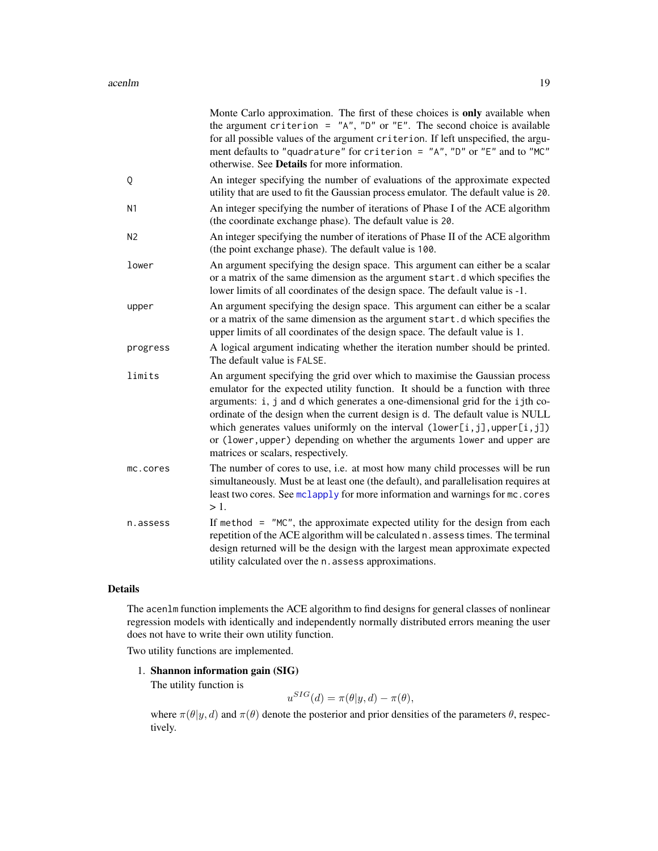<span id="page-18-0"></span>

|                | Monte Carlo approximation. The first of these choices is only available when<br>the argument criterion = $\alpha$ <sup>n</sup> , $\alpha$ <sup>n</sup> or $\alpha$ <sup>n</sup> E". The second choice is available<br>for all possible values of the argument criterion. If left unspecified, the argu-<br>ment defaults to "quadrature" for criterion = $'A''$ , "D" or "E" and to "MC"<br>otherwise. See Details for more information.                                                                                          |
|----------------|-----------------------------------------------------------------------------------------------------------------------------------------------------------------------------------------------------------------------------------------------------------------------------------------------------------------------------------------------------------------------------------------------------------------------------------------------------------------------------------------------------------------------------------|
| Q              | An integer specifying the number of evaluations of the approximate expected<br>utility that are used to fit the Gaussian process emulator. The default value is 20.                                                                                                                                                                                                                                                                                                                                                               |
| N <sub>1</sub> | An integer specifying the number of iterations of Phase I of the ACE algorithm<br>(the coordinate exchange phase). The default value is 20.                                                                                                                                                                                                                                                                                                                                                                                       |
| N <sub>2</sub> | An integer specifying the number of iterations of Phase II of the ACE algorithm<br>(the point exchange phase). The default value is 100.                                                                                                                                                                                                                                                                                                                                                                                          |
| lower          | An argument specifying the design space. This argument can either be a scalar<br>or a matrix of the same dimension as the argument start.d which specifies the<br>lower limits of all coordinates of the design space. The default value is -1.                                                                                                                                                                                                                                                                                   |
| upper          | An argument specifying the design space. This argument can either be a scalar<br>or a matrix of the same dimension as the argument start.d which specifies the<br>upper limits of all coordinates of the design space. The default value is 1.                                                                                                                                                                                                                                                                                    |
| progress       | A logical argument indicating whether the iteration number should be printed.<br>The default value is FALSE.                                                                                                                                                                                                                                                                                                                                                                                                                      |
| limits         | An argument specifying the grid over which to maximise the Gaussian process<br>emulator for the expected utility function. It should be a function with three<br>arguments: i, j and d which generates a one-dimensional grid for the ijth co-<br>ordinate of the design when the current design is d. The default value is NULL<br>which generates values uniformly on the interval $(lower[i,j], upper[i,j])$<br>or (lower, upper) depending on whether the arguments lower and upper are<br>matrices or scalars, respectively. |
| mc.cores       | The number of cores to use, i.e. at most how many child processes will be run<br>simultaneously. Must be at least one (the default), and parallelisation requires at<br>least two cores. See mclapply for more information and warnings for mc. cores<br>$>1$ .                                                                                                                                                                                                                                                                   |
| n.assess       | If method $=$ "MC", the approximate expected utility for the design from each<br>repetition of the ACE algorithm will be calculated n. assess times. The terminal<br>design returned will be the design with the largest mean approximate expected<br>utility calculated over the n. assess approximations.                                                                                                                                                                                                                       |

### Details

The acenlm function implements the ACE algorithm to find designs for general classes of nonlinear regression models with identically and independently normally distributed errors meaning the user does not have to write their own utility function.

Two utility functions are implemented.

1. Shannon information gain (SIG)

The utility function is

$$
u^{SIG}(d) = \pi(\theta | y, d) - \pi(\theta),
$$

where  $\pi(\theta|y, d)$  and  $\pi(\theta)$  denote the posterior and prior densities of the parameters  $\theta$ , respectively.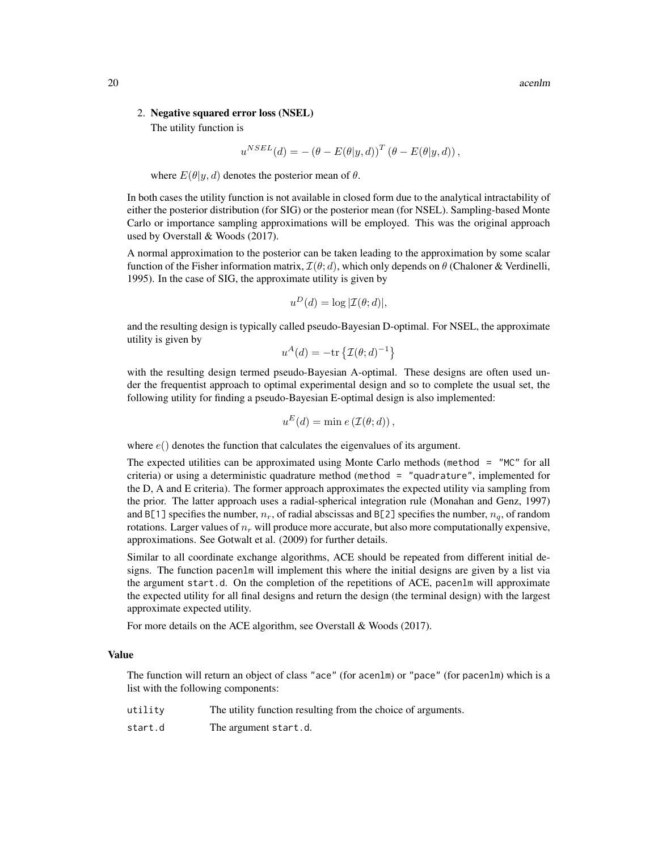### 2. Negative squared error loss (NSEL)

The utility function is

$$
u^{NSEL}(d) = -(\theta - E(\theta | y, d))^T (\theta - E(\theta | y, d)),
$$

where  $E(\theta | y, d)$  denotes the posterior mean of  $\theta$ .

In both cases the utility function is not available in closed form due to the analytical intractability of either the posterior distribution (for SIG) or the posterior mean (for NSEL). Sampling-based Monte Carlo or importance sampling approximations will be employed. This was the original approach used by Overstall & Woods (2017).

A normal approximation to the posterior can be taken leading to the approximation by some scalar function of the Fisher information matrix,  $\mathcal{I}(\theta; d)$ , which only depends on  $\theta$  (Chaloner & Verdinelli, 1995). In the case of SIG, the approximate utility is given by

$$
u^D(d) = \log |\mathcal{I}(\theta; d)|,
$$

and the resulting design is typically called pseudo-Bayesian D-optimal. For NSEL, the approximate utility is given by

$$
u^A(d) = -\text{tr}\left\{\mathcal{I}(\theta; d)^{-1}\right\}
$$

with the resulting design termed pseudo-Bayesian A-optimal. These designs are often used under the frequentist approach to optimal experimental design and so to complete the usual set, the following utility for finding a pseudo-Bayesian E-optimal design is also implemented:

$$
u^{E}(d) = \min e(\mathcal{I}(\theta; d)),
$$

where  $e()$  denotes the function that calculates the eigenvalues of its argument.

The expected utilities can be approximated using Monte Carlo methods (method = "MC" for all criteria) or using a deterministic quadrature method (method = "quadrature", implemented for the D, A and E criteria). The former approach approximates the expected utility via sampling from the prior. The latter approach uses a radial-spherical integration rule (Monahan and Genz, 1997) and B[1] specifies the number,  $n_r$ , of radial abscissas and B[2] specifies the number,  $n_q$ , of random rotations. Larger values of  $n_r$  will produce more accurate, but also more computationally expensive, approximations. See Gotwalt et al. (2009) for further details.

Similar to all coordinate exchange algorithms, ACE should be repeated from different initial designs. The function pacenlm will implement this where the initial designs are given by a list via the argument start.d. On the completion of the repetitions of ACE, pacenlm will approximate the expected utility for all final designs and return the design (the terminal design) with the largest approximate expected utility.

For more details on the ACE algorithm, see Overstall & Woods (2017).

### Value

The function will return an object of class "ace" (for acenlm) or "pace" (for pacenlm) which is a list with the following components:

| utility | The utility function resulting from the choice of arguments. |
|---------|--------------------------------------------------------------|
| start.d | The argument start.d.                                        |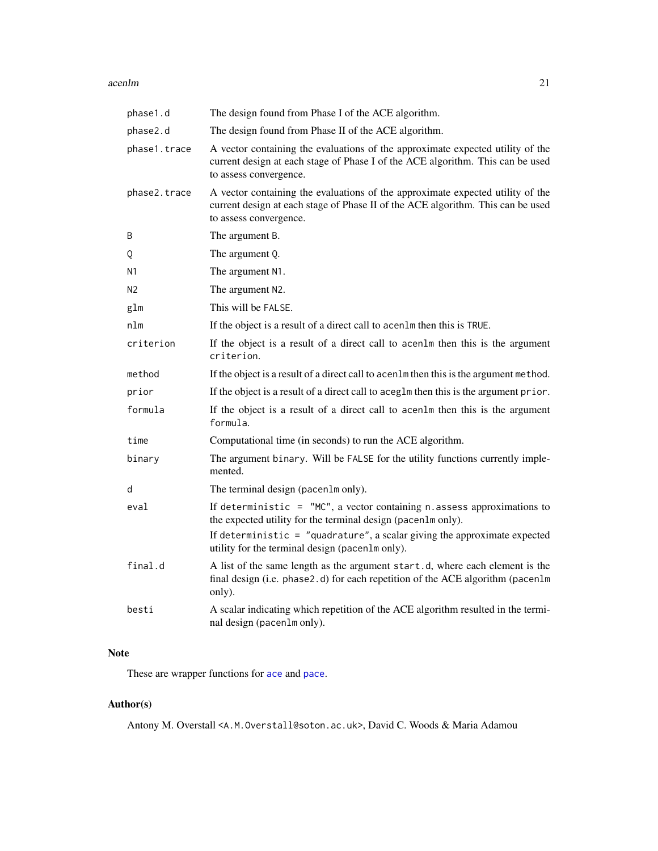### <span id="page-20-0"></span>acenlm 21

| phase1.d     | The design found from Phase I of the ACE algorithm.                                                                                                                                         |
|--------------|---------------------------------------------------------------------------------------------------------------------------------------------------------------------------------------------|
| phase2.d     | The design found from Phase II of the ACE algorithm.                                                                                                                                        |
| phase1.trace | A vector containing the evaluations of the approximate expected utility of the<br>current design at each stage of Phase I of the ACE algorithm. This can be used<br>to assess convergence.  |
| phase2.trace | A vector containing the evaluations of the approximate expected utility of the<br>current design at each stage of Phase II of the ACE algorithm. This can be used<br>to assess convergence. |
| B            | The argument B.                                                                                                                                                                             |
| Q            | The argument Q.                                                                                                                                                                             |
| Ν1           | The argument N1.                                                                                                                                                                            |
| N2           | The argument N2.                                                                                                                                                                            |
| glm          | This will be FALSE.                                                                                                                                                                         |
| nlm          | If the object is a result of a direct call to acen1m then this is TRUE.                                                                                                                     |
| criterion    | If the object is a result of a direct call to acenlm then this is the argument<br>criterion.                                                                                                |
| method       | If the object is a result of a direct call to acen1m then this is the argument method.                                                                                                      |
| prior        | If the object is a result of a direct call to aceg1m then this is the argument prior.                                                                                                       |
| formula      | If the object is a result of a direct call to acen1m then this is the argument<br>formula.                                                                                                  |
| time         | Computational time (in seconds) to run the ACE algorithm.                                                                                                                                   |
| binary       | The argument binary. Will be FALSE for the utility functions currently imple-<br>mented.                                                                                                    |
| d            | The terminal design (pacen1m only).                                                                                                                                                         |
| eval         | If deterministic = $"MC",$ a vector containing n. assess approximations to<br>the expected utility for the terminal design (pacen1m only).                                                  |
|              | If deterministic = $"quadrature", a scalar giving the approximate expected$<br>utility for the terminal design (pacen1m only).                                                              |
| final.d      | A list of the same length as the argument start.d, where each element is the<br>final design (i.e. phase2.d) for each repetition of the ACE algorithm (pacen1m<br>only).                    |
| besti        | A scalar indicating which repetition of the ACE algorithm resulted in the termi-<br>nal design (pacenlm only).                                                                              |

### Note

These are wrapper functions for [ace](#page-3-1) and [pace](#page-4-0).

## Author(s)

Antony M. Overstall <A.M.Overstall@soton.ac.uk>, David C. Woods & Maria Adamou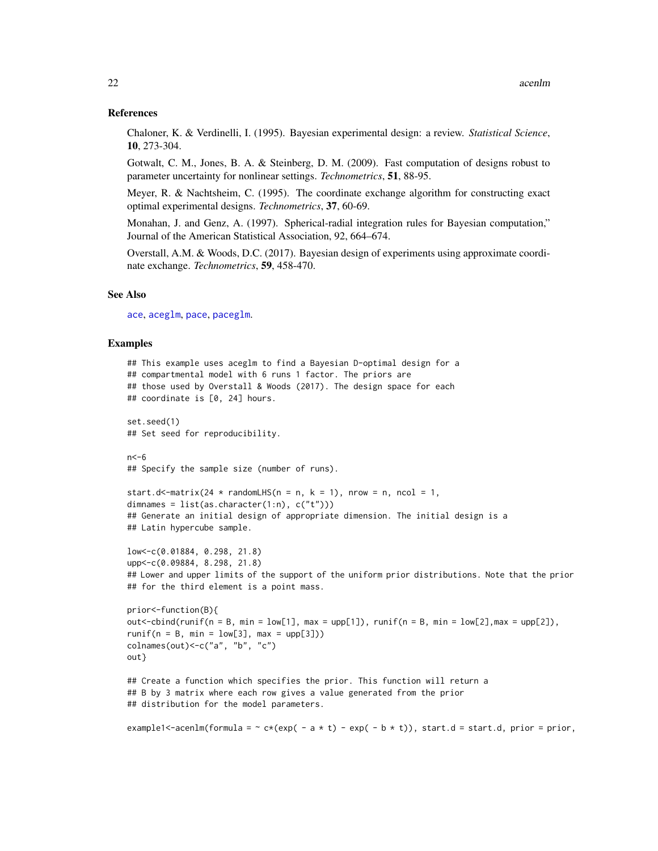### <span id="page-21-0"></span>References

Chaloner, K. & Verdinelli, I. (1995). Bayesian experimental design: a review. *Statistical Science*, 10, 273-304.

Gotwalt, C. M., Jones, B. A. & Steinberg, D. M. (2009). Fast computation of designs robust to parameter uncertainty for nonlinear settings. *Technometrics*, 51, 88-95.

Meyer, R. & Nachtsheim, C. (1995). The coordinate exchange algorithm for constructing exact optimal experimental designs. *Technometrics*, 37, 60-69.

Monahan, J. and Genz, A. (1997). Spherical-radial integration rules for Bayesian computation," Journal of the American Statistical Association, 92, 664–674.

Overstall, A.M. & Woods, D.C. (2017). Bayesian design of experiments using approximate coordinate exchange. *Technometrics*, 59, 458-470.

### See Also

[ace](#page-3-1), [aceglm](#page-9-1), [pace](#page-4-0), [paceglm](#page-9-2).

### Examples

```
## This example uses aceglm to find a Bayesian D-optimal design for a
## compartmental model with 6 runs 1 factor. The priors are
## those used by Overstall & Woods (2017). The design space for each
## coordinate is [0, 24] hours.
set.seed(1)
## Set seed for reproducibility.
n < -6## Specify the sample size (number of runs).
start.d<-matrix(24 * randomLHS(n = n, k = 1), nrow = n, ncol = 1,
dimnames = list(as. character(1:n), c("t"))## Generate an initial design of appropriate dimension. The initial design is a
## Latin hypercube sample.
low<-c(0.01884, 0.298, 21.8)
upp<-c(0.09884, 8.298, 21.8)
## Lower and upper limits of the support of the uniform prior distributions. Note that the prior
## for the third element is a point mass.
prior<-function(B){
out <-cbind(runif(n = B, min = low[1], max = upp[1]), runif(n = B, min = low[2], max = upp[2]),
runif(n = B, min = low[3], max = upp[3]))
colnames(out)<-c("a", "b", "c")
out}
## Create a function which specifies the prior. This function will return a
## B by 3 matrix where each row gives a value generated from the prior
## distribution for the model parameters.
example1<-acenlm(formula = \sim c*(exp( - a * t) - exp( - b * t)), start.d = start.d, prior = prior,
```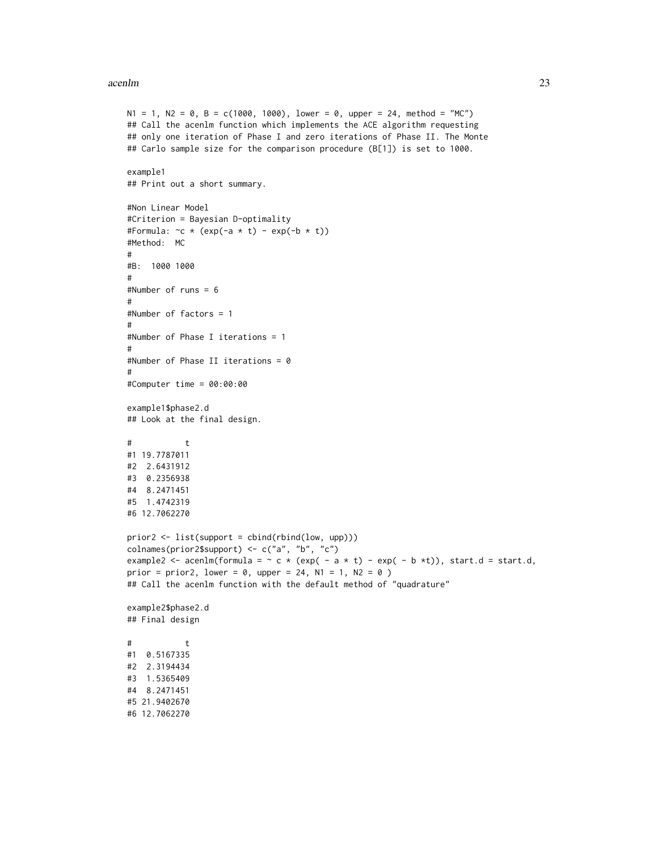### acenlm 23

```
N1 = 1, N2 = 0, B = c(1000, 1000), lower = 0, upper = 24, method = "MC")
## Call the acenlm function which implements the ACE algorithm requesting
## only one iteration of Phase I and zero iterations of Phase II. The Monte
## Carlo sample size for the comparison procedure (B[1]) is set to 1000.
example1
## Print out a short summary.
#Non Linear Model
#Criterion = Bayesian D-optimality
#Formula: \sim c \times (exp(-a \times t) - exp(-b \times t))#Method: MC
#
#B: 1000 1000
#
#Number of runs = 6
#
#Number of factors = 1
#
#Number of Phase I iterations = 1
#
#Number of Phase II iterations = 0
#
#Computer time = 00:00:00
example1$phase2.d
## Look at the final design.
# t
#1 19.7787011
#2 2.6431912
#3 0.2356938
#4 8.2471451
#5 1.4742319
#6 12.7062270
prior2 <- list(support = cbind(rbind(low, upp)))
colnames(prior2$support) <- c("a", "b", "c")
example2 <- acenlm(formula = \sim c * (exp( - a * t) - exp( - b *t)), start.d = start.d,
prior = prior2, lower = 0, upper = 24, N1 = 1, N2 = 0)
## Call the acenlm function with the default method of "quadrature"
example2$phase2.d
## Final design
\# t
#1 0.5167335
#2 2.3194434
#3 1.5365409
#4 8.2471451
#5 21.9402670
#6 12.7062270
```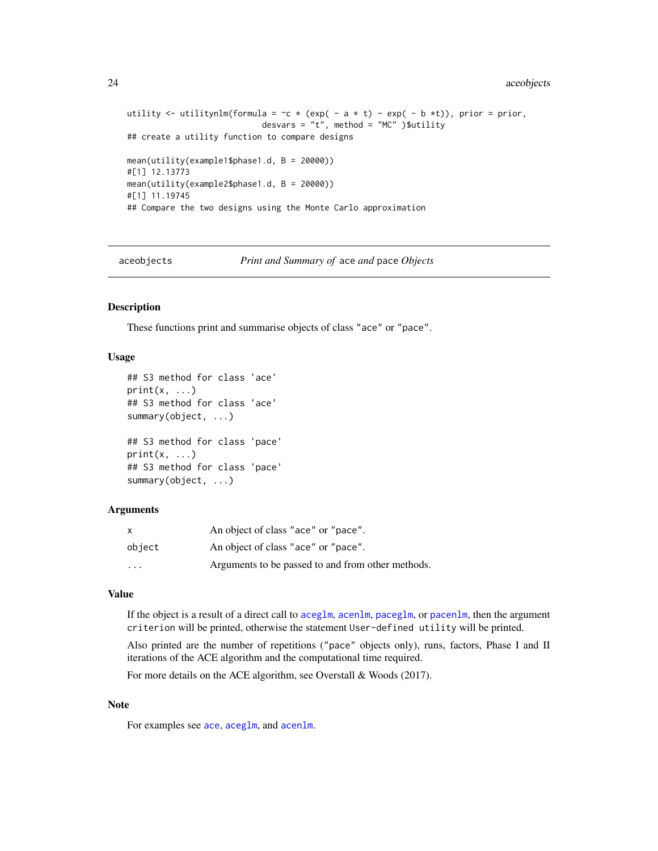24 aceobjects

```
utility \le utilitynlm(formula = \sim \lt \lt (exp( - a \lt t) - exp( - b \ltt)), prior = prior,
                             desvars = "t", method = "MC")$utility
## create a utility function to compare designs
mean(utility(example1$phase1.d, B = 20000))
#[1] 12.13773
mean(utility(example2$phase1.d, B = 20000))
#[1] 11.19745
## Compare the two designs using the Monte Carlo approximation
```
aceobjects *Print and Summary of* ace *and* pace *Objects*

### Description

These functions print and summarise objects of class "ace" or "pace".

### Usage

```
## S3 method for class 'ace'
print(x, \ldots)## S3 method for class 'ace'
summary(object, ...)
## S3 method for class 'pace'
print(x, \ldots)## S3 method for class 'pace'
summary(object, ...)
```
### Arguments

|                         | An object of class "ace" or "pace".               |
|-------------------------|---------------------------------------------------|
| object                  | An object of class "ace" or "pace".               |
| $\cdot$ $\cdot$ $\cdot$ | Arguments to be passed to and from other methods. |

### Value

If the object is a result of a direct call to [aceglm](#page-9-1), [acenlm](#page-16-1), [paceglm](#page-9-2), or [pacenlm](#page-16-2), then the argument criterion will be printed, otherwise the statement User-defined utility will be printed.

Also printed are the number of repetitions ("pace" objects only), runs, factors, Phase I and II iterations of the ACE algorithm and the computational time required.

For more details on the ACE algorithm, see Overstall & Woods (2017).

### Note

For examples see [ace](#page-3-1), [aceglm](#page-9-1), and [acenlm](#page-16-1).

<span id="page-23-0"></span>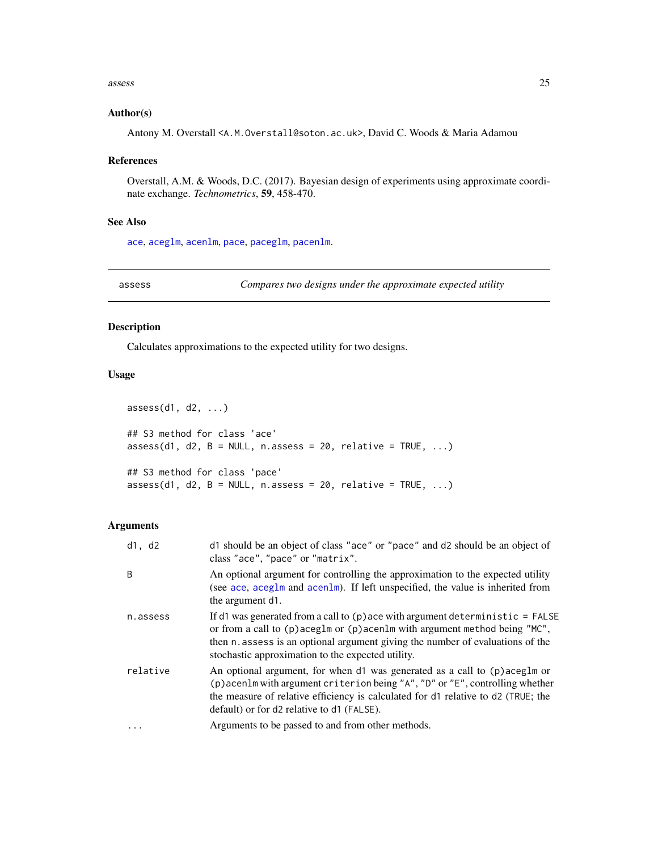### <span id="page-24-0"></span>assess 25

### Author(s)

Antony M. Overstall <A.M.Overstall@soton.ac.uk>, David C. Woods & Maria Adamou

### References

Overstall, A.M. & Woods, D.C. (2017). Bayesian design of experiments using approximate coordinate exchange. *Technometrics*, 59, 458-470.

### See Also

[ace](#page-3-1), [aceglm](#page-9-1), [acenlm](#page-16-1), [pace](#page-4-0), [paceglm](#page-9-2), [pacenlm](#page-16-2).

### Description

Calculates approximations to the expected utility for two designs.

### Usage

```
assess(d1, d2, ...)
## S3 method for class 'ace'
assess(d1, d2, B = NULL, n. assess = 20, relative = TRUE, ...)## S3 method for class 'pace'
assess(d1, d2, B = NULL, n. assess = 20, relative = TRUE, ...)
```
### Arguments

| d1, d2   | d1 should be an object of class "ace" or "pace" and d2 should be an object of<br>class "ace", "pace" or "matrix".                                                                                                                                                                                      |
|----------|--------------------------------------------------------------------------------------------------------------------------------------------------------------------------------------------------------------------------------------------------------------------------------------------------------|
| B        | An optional argument for controlling the approximation to the expected utility<br>(see ace, aceg1m and acen1m). If left unspecified, the value is inherited from<br>the argument d1.                                                                                                                   |
| n.assess | If d1 was generated from a call to $(p)$ ace with argument deterministic = FALSE<br>or from a call to (p) aceglm or (p) acenlm with argument method being "MC",<br>then n. assess is an optional argument giving the number of evaluations of the<br>stochastic approximation to the expected utility. |
| relative | An optional argument, for when d1 was generated as a call to (p) aceg1m or<br>(p) acenlm with argument criterion being "A", "D" or "E", controlling whether<br>the measure of relative efficiency is calculated for d1 relative to d2 (TRUE; the<br>default) or for d2 relative to d1 (FALSE).         |
| $\cdots$ | Arguments to be passed to and from other methods.                                                                                                                                                                                                                                                      |

<span id="page-24-1"></span>assess *Compares two designs under the approximate expected utility*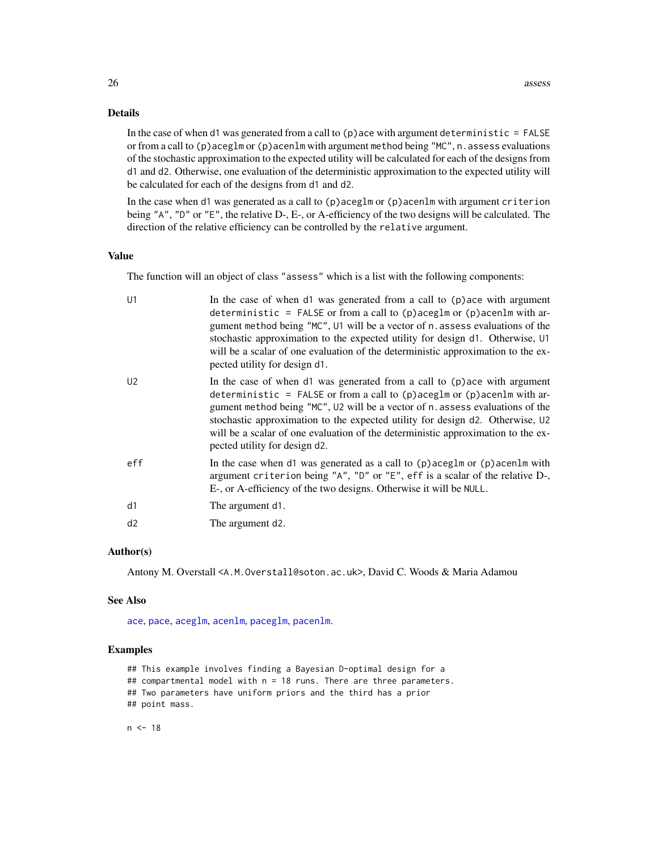### <span id="page-25-0"></span>Details

In the case of when d1 was generated from a call to  $(p)$  ace with argument deterministic = FALSE or from a call to  $(p)$  aceglm or  $(p)$  acenlm with argument method being "MC", n. assess evaluations of the stochastic approximation to the expected utility will be calculated for each of the designs from d1 and d2. Otherwise, one evaluation of the deterministic approximation to the expected utility will be calculated for each of the designs from d1 and d2.

In the case when d1 was generated as a call to (p)aceglm or (p)acenlm with argument criterion being "A", "D" or "E", the relative D-, E-, or A-efficiency of the two designs will be calculated. The direction of the relative efficiency can be controlled by the relative argument.

### Value

The function will an object of class "assess" which is a list with the following components:

| U1             | In the case of when d1 was generated from a call to (p) ace with argument<br>deterministic = FALSE or from a call to $(p)$ aceglm or $(p)$ acenlm with ar-<br>gument method being "MC", U1 will be a vector of n. assess evaluations of the<br>stochastic approximation to the expected utility for design d1. Otherwise, U1<br>will be a scalar of one evaluation of the deterministic approximation to the ex-<br>pected utility for design d1. |
|----------------|---------------------------------------------------------------------------------------------------------------------------------------------------------------------------------------------------------------------------------------------------------------------------------------------------------------------------------------------------------------------------------------------------------------------------------------------------|
| U <sub>2</sub> | In the case of when d1 was generated from a call to (p) ace with argument<br>deterministic = FALSE or from a call to $(p)$ aceglm or $(p)$ acenlm with ar-<br>gument method being "MC", U2 will be a vector of n. assess evaluations of the<br>stochastic approximation to the expected utility for design d2. Otherwise, U2<br>will be a scalar of one evaluation of the deterministic approximation to the ex-<br>pected utility for design d2. |
| eff            | In the case when d1 was generated as a call to $(p)$ aceglm or $(p)$ acenlm with<br>argument criterion being "A", "D" or "E", eff is a scalar of the relative D-,<br>E-, or A-efficiency of the two designs. Otherwise it will be NULL.                                                                                                                                                                                                           |
| d1             | The argument d1.                                                                                                                                                                                                                                                                                                                                                                                                                                  |
| d2             | The argument d2.                                                                                                                                                                                                                                                                                                                                                                                                                                  |

### Author(s)

Antony M. Overstall <A.M.Overstall@soton.ac.uk>, David C. Woods & Maria Adamou

### See Also

[ace](#page-3-1), [pace](#page-4-0), [aceglm](#page-9-1), [acenlm](#page-16-1), [paceglm](#page-9-2), [pacenlm](#page-16-2).

### Examples

```
## This example involves finding a Bayesian D-optimal design for a
## compartmental model with n = 18 runs. There are three parameters.
## Two parameters have uniform priors and the third has a prior
## point mass.
```
 $n < -18$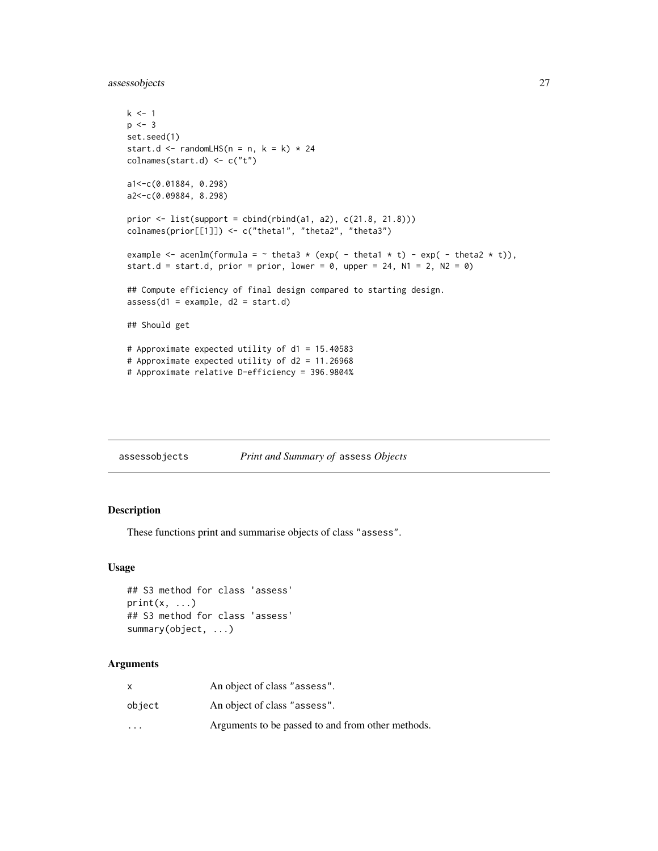<span id="page-26-0"></span>assessobjects 27

```
k \leq -1p \le -3set.seed(1)
start.d <- randomLHS(n = n, k = k) * 24
colnames(start.d) <- c("t")
a1<-c(0.01884, 0.298)
a2<-c(0.09884, 8.298)
prior \le list(support = cbind(rbind(a1, a2), c(21.8, 21.8)))
colnames(prior[[1]]) <- c("theta1", "theta2", "theta3")
example \leq acenlm(formula = \sim theta3 \star (exp( - theta1 \star t) - exp( - theta2 \star t)),
start.d = start.d, prior = prior, lower = \theta, upper = 24, N1 = 2, N2 = \theta)
## Compute efficiency of final design compared to starting design.
assess(d1 = example, d2 = start.d)## Should get
# Approximate expected utility of d1 = 15.40583
# Approximate expected utility of d2 = 11.26968
# Approximate relative D-efficiency = 396.9804%
```

| assessobjects | Print and Summary of assess Objects |  |
|---------------|-------------------------------------|--|
|               |                                     |  |

### Description

These functions print and summarise objects of class "assess".

### Usage

```
## S3 method for class 'assess'
print(x, \ldots)## S3 method for class 'assess'
summary(object, ...)
```
### Arguments

| X       | An object of class "assess".                      |
|---------|---------------------------------------------------|
| object  | An object of class "assess".                      |
| $\cdot$ | Arguments to be passed to and from other methods. |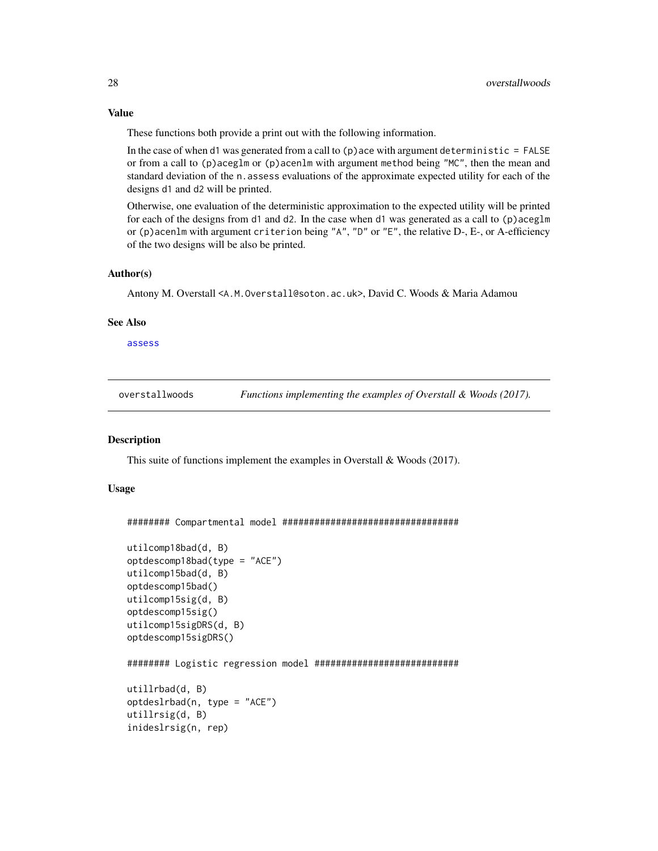<span id="page-27-0"></span>These functions both provide a print out with the following information.

In the case of when d1 was generated from a call to  $(p)$  ace with argument deterministic = FALSE or from a call to (p)aceglm or (p)acenlm with argument method being "MC", then the mean and standard deviation of the n. assess evaluations of the approximate expected utility for each of the designs d1 and d2 will be printed.

Otherwise, one evaluation of the deterministic approximation to the expected utility will be printed for each of the designs from d1 and d2. In the case when d1 was generated as a call to  $(p)$  aceglm or (p)acenlm with argument criterion being "A", "D" or "E", the relative D-, E-, or A-efficiency of the two designs will be also be printed.

### Author(s)

Antony M. Overstall <A.M.Overstall@soton.ac.uk>, David C. Woods & Maria Adamou

#### See Also

[assess](#page-24-1)

overstallwoods *Functions implementing the examples of Overstall & Woods (2017).*

### <span id="page-27-1"></span>**Description**

This suite of functions implement the examples in Overstall & Woods (2017).

### Usage

######## Compartmental model #################################

```
utilcomp18bad(d, B)
optdescomp18bad(type = "ACE")
utilcomp15bad(d, B)
optdescomp15bad()
utilcomp15sig(d, B)
optdescomp15sig()
utilcomp15sigDRS(d, B)
optdescomp15sigDRS()
######## Logistic regression model ###########################
utillrbad(d, B)
optdeslrbad(n, type = "ACE")
utillrsig(d, B)
inideslrsig(n, rep)
```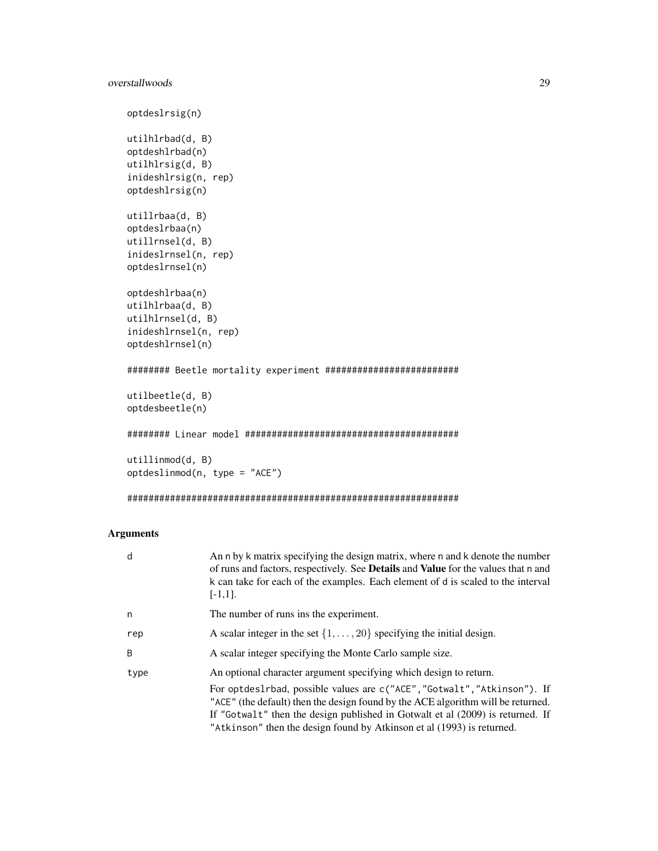```
optdeslrsig(n)
utilhlrbad(d, B)
optdeshlrbad(n)
utilhlrsig(d, B)
inideshlrsig(n, rep)
optdeshlrsig(n)
utillrbaa(d, B)
optdeslrbaa(n)
utillrnsel(d, B)
inideslrnsel(n, rep)
optdeslrnsel(n)
optdeshlrbaa(n)
utilhlrbaa(d, B)
utilhlrnsel(d, B)
inideshlrnsel(n, rep)
optdeshlrnsel(n)
######## Beetle mortality experiment #########################
utilbeetle(d, B)
optdesbeetle(n)
######## Linear model ########################################
utillinmod(d, B)
optdeslinmod(n, type = "ACE")
```
##############################################################

### Arguments

| d    | An n by k matrix specifying the design matrix, where n and k denote the number<br>of runs and factors, respectively. See <b>Details</b> and <b>Value</b> for the values that n and<br>k can take for each of the examples. Each element of d is scaled to the interval<br>$[-1,1]$ .                                     |
|------|--------------------------------------------------------------------------------------------------------------------------------------------------------------------------------------------------------------------------------------------------------------------------------------------------------------------------|
| n    | The number of runs ins the experiment.                                                                                                                                                                                                                                                                                   |
| rep  | A scalar integer in the set $\{1, \ldots, 20\}$ specifying the initial design.                                                                                                                                                                                                                                           |
| B    | A scalar integer specifying the Monte Carlo sample size.                                                                                                                                                                                                                                                                 |
| type | An optional character argument specifying which design to return.                                                                                                                                                                                                                                                        |
|      | For optdes1rbad, possible values are c("ACE", "Gotwalt", "Atkinson"). If<br>"ACE" (the default) then the design found by the ACE algorithm will be returned.<br>If "Gotwalt" then the design published in Gotwalt et al (2009) is returned. If<br>"Atkinson" then the design found by Atkinson et al (1993) is returned. |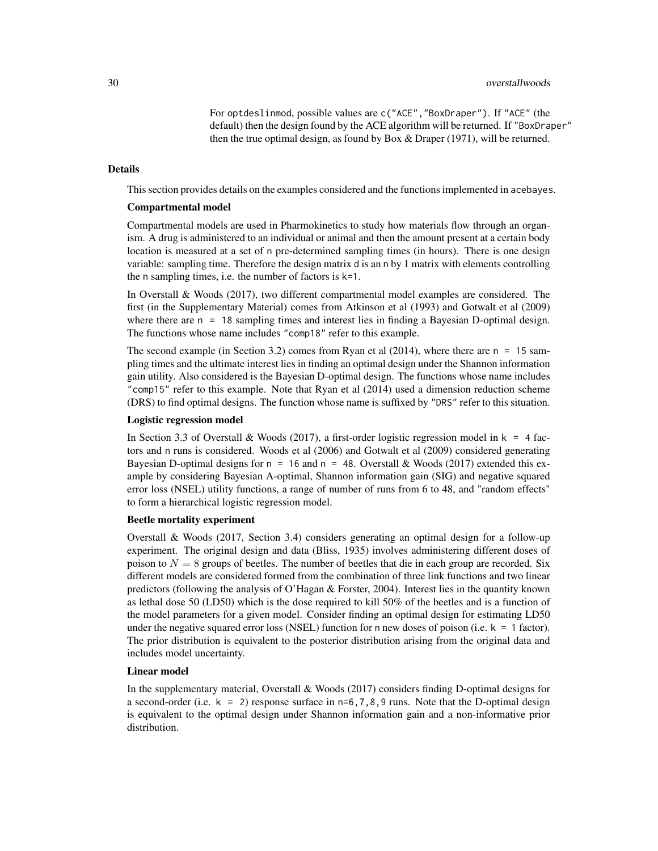For optdeslinmod, possible values are c("ACE","BoxDraper"). If "ACE" (the default) then the design found by the ACE algorithm will be returned. If "BoxDraper" then the true optimal design, as found by Box & Draper (1971), will be returned.

### Details

This section provides details on the examples considered and the functions implemented in acebayes.

### Compartmental model

Compartmental models are used in Pharmokinetics to study how materials flow through an organism. A drug is administered to an individual or animal and then the amount present at a certain body location is measured at a set of n pre-determined sampling times (in hours). There is one design variable: sampling time. Therefore the design matrix d is an n by 1 matrix with elements controlling the n sampling times, i.e. the number of factors is k=1.

In Overstall & Woods (2017), two different compartmental model examples are considered. The first (in the Supplementary Material) comes from Atkinson et al (1993) and Gotwalt et al (2009) where there are  $n = 18$  sampling times and interest lies in finding a Bayesian D-optimal design. The functions whose name includes "comp18" refer to this example.

The second example (in Section 3.2) comes from Ryan et al (2014), where there are n = 15 sampling times and the ultimate interest lies in finding an optimal design under the Shannon information gain utility. Also considered is the Bayesian D-optimal design. The functions whose name includes "comp15" refer to this example. Note that Ryan et al (2014) used a dimension reduction scheme (DRS) to find optimal designs. The function whose name is suffixed by "DRS" refer to this situation.

### Logistic regression model

In Section 3.3 of Overstall & Woods (2017), a first-order logistic regression model in  $k = 4$  factors and n runs is considered. Woods et al (2006) and Gotwalt et al (2009) considered generating Bayesian D-optimal designs for  $n = 16$  and  $n = 48$ . Overstall & Woods (2017) extended this example by considering Bayesian A-optimal, Shannon information gain (SIG) and negative squared error loss (NSEL) utility functions, a range of number of runs from 6 to 48, and "random effects" to form a hierarchical logistic regression model.

### Beetle mortality experiment

Overstall & Woods (2017, Section 3.4) considers generating an optimal design for a follow-up experiment. The original design and data (Bliss, 1935) involves administering different doses of poison to  $N = 8$  groups of beetles. The number of beetles that die in each group are recorded. Six different models are considered formed from the combination of three link functions and two linear predictors (following the analysis of O'Hagan & Forster, 2004). Interest lies in the quantity known as lethal dose 50 (LD50) which is the dose required to kill 50% of the beetles and is a function of the model parameters for a given model. Consider finding an optimal design for estimating LD50 under the negative squared error loss (NSEL) function for n new doses of poison (i.e.  $k = 1$  factor). The prior distribution is equivalent to the posterior distribution arising from the original data and includes model uncertainty.

### Linear model

In the supplementary material, Overstall & Woods (2017) considers finding D-optimal designs for a second-order (i.e.  $k = 2$ ) response surface in n=6,7,8,9 runs. Note that the D-optimal design is equivalent to the optimal design under Shannon information gain and a non-informative prior distribution.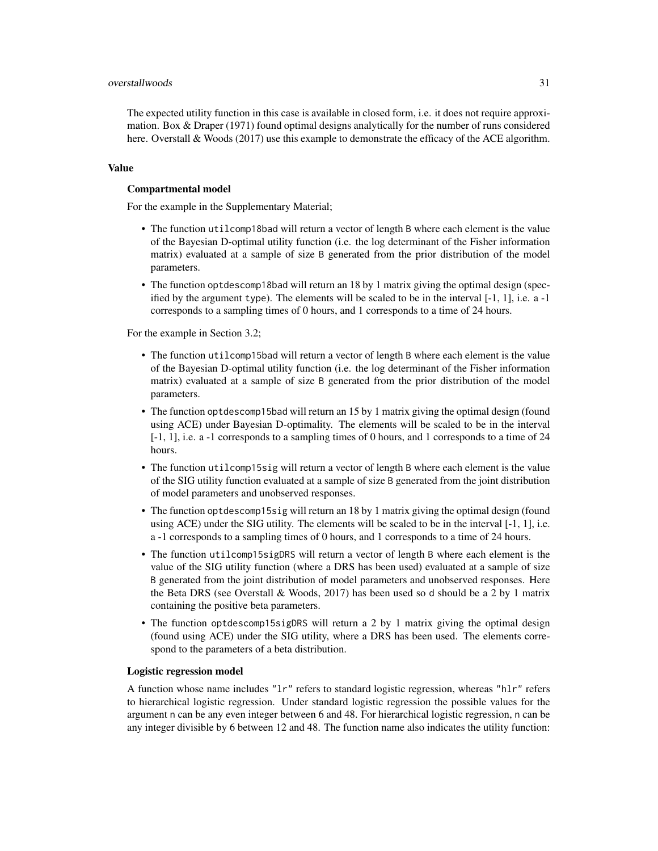The expected utility function in this case is available in closed form, i.e. it does not require approximation. Box & Draper (1971) found optimal designs analytically for the number of runs considered here. Overstall & Woods (2017) use this example to demonstrate the efficacy of the ACE algorithm.

### Value

### Compartmental model

For the example in the Supplementary Material;

- The function utilcomp18bad will return a vector of length B where each element is the value of the Bayesian D-optimal utility function (i.e. the log determinant of the Fisher information matrix) evaluated at a sample of size B generated from the prior distribution of the model parameters.
- The function optdescomp18bad will return an 18 by 1 matrix giving the optimal design (specified by the argument type). The elements will be scaled to be in the interval  $[-1, 1]$ , i.e. a  $-1$ corresponds to a sampling times of 0 hours, and 1 corresponds to a time of 24 hours.

For the example in Section 3.2;

- The function utilcomp15bad will return a vector of length B where each element is the value of the Bayesian D-optimal utility function (i.e. the log determinant of the Fisher information matrix) evaluated at a sample of size B generated from the prior distribution of the model parameters.
- The function optdescomp15bad will return an 15 by 1 matrix giving the optimal design (found using ACE) under Bayesian D-optimality. The elements will be scaled to be in the interval [-1, 1], i.e. a -1 corresponds to a sampling times of 0 hours, and 1 corresponds to a time of 24 hours.
- The function utilcomp15sig will return a vector of length B where each element is the value of the SIG utility function evaluated at a sample of size B generated from the joint distribution of model parameters and unobserved responses.
- The function optdescomp15sig will return an 18 by 1 matrix giving the optimal design (found using  $ACE$ ) under the SIG utility. The elements will be scaled to be in the interval  $[-1, 1]$ , i.e. a -1 corresponds to a sampling times of 0 hours, and 1 corresponds to a time of 24 hours.
- The function utilcomp15sigDRS will return a vector of length B where each element is the value of the SIG utility function (where a DRS has been used) evaluated at a sample of size B generated from the joint distribution of model parameters and unobserved responses. Here the Beta DRS (see Overstall  $&$  Woods, 2017) has been used so d should be a 2 by 1 matrix containing the positive beta parameters.
- The function optdescomp15sigDRS will return a 2 by 1 matrix giving the optimal design (found using ACE) under the SIG utility, where a DRS has been used. The elements correspond to the parameters of a beta distribution.

#### Logistic regression model

A function whose name includes "lr" refers to standard logistic regression, whereas "hlr" refers to hierarchical logistic regression. Under standard logistic regression the possible values for the argument n can be any even integer between 6 and 48. For hierarchical logistic regression, n can be any integer divisible by 6 between 12 and 48. The function name also indicates the utility function: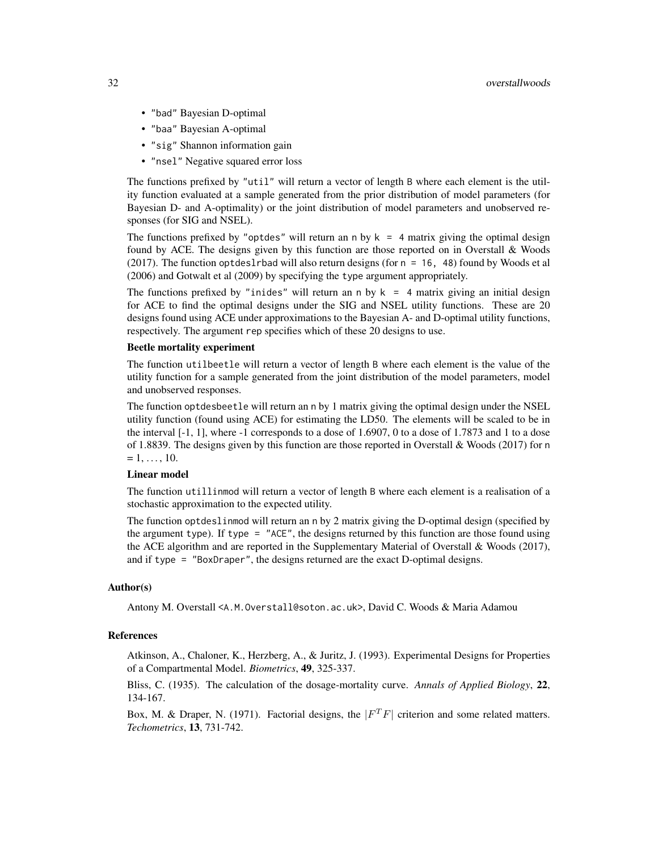- "bad" Bayesian D-optimal
- "baa" Bayesian A-optimal
- "sig" Shannon information gain
- "nsel" Negative squared error loss

The functions prefixed by "util" will return a vector of length B where each element is the utility function evaluated at a sample generated from the prior distribution of model parameters (for Bayesian D- and A-optimality) or the joint distribution of model parameters and unobserved responses (for SIG and NSEL).

The functions prefixed by "optdes" will return an n by  $k = 4$  matrix giving the optimal design found by ACE. The designs given by this function are those reported on in Overstall & Woods  $(2017)$ . The function optdeslrbad will also return designs (for  $n = 16$ , 48) found by Woods et al (2006) and Gotwalt et al (2009) by specifying the type argument appropriately.

The functions prefixed by "inides" will return an n by  $k = 4$  matrix giving an initial design for ACE to find the optimal designs under the SIG and NSEL utility functions. These are 20 designs found using ACE under approximations to the Bayesian A- and D-optimal utility functions, respectively. The argument rep specifies which of these 20 designs to use.

### Beetle mortality experiment

The function utilbeetle will return a vector of length B where each element is the value of the utility function for a sample generated from the joint distribution of the model parameters, model and unobserved responses.

The function optdesbeetle will return an n by 1 matrix giving the optimal design under the NSEL utility function (found using ACE) for estimating the LD50. The elements will be scaled to be in the interval [-1, 1], where -1 corresponds to a dose of 1.6907, 0 to a dose of 1.7873 and 1 to a dose of 1.8839. The designs given by this function are those reported in Overstall & Woods (2017) for n  $= 1, \ldots, 10.$ 

### Linear model

The function utillinmod will return a vector of length B where each element is a realisation of a stochastic approximation to the expected utility.

The function optdeslinmod will return an n by 2 matrix giving the D-optimal design (specified by the argument type). If type = "ACE", the designs returned by this function are those found using the ACE algorithm and are reported in the Supplementary Material of Overstall & Woods (2017), and if type  $=$  "BoxDraper", the designs returned are the exact D-optimal designs.

### Author(s)

Antony M. Overstall <A.M.Overstall@soton.ac.uk>, David C. Woods & Maria Adamou

### References

Atkinson, A., Chaloner, K., Herzberg, A., & Juritz, J. (1993). Experimental Designs for Properties of a Compartmental Model. *Biometrics*, 49, 325-337.

Bliss, C. (1935). The calculation of the dosage-mortality curve. *Annals of Applied Biology*, 22, 134-167.

Box, M. & Draper, N. (1971). Factorial designs, the  $|F^T F|$  criterion and some related matters. *Techometrics*, 13, 731-742.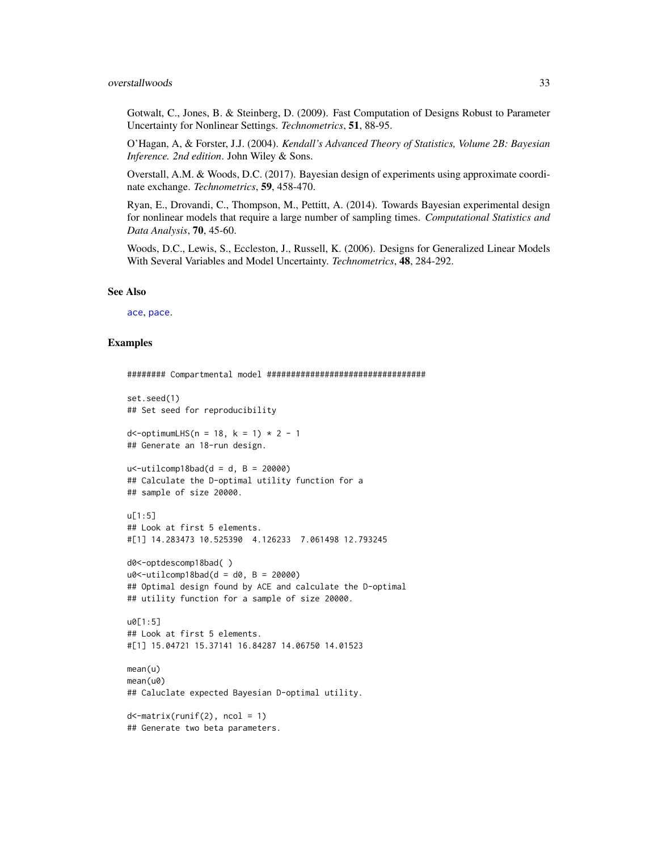<span id="page-32-0"></span>Gotwalt, C., Jones, B. & Steinberg, D. (2009). Fast Computation of Designs Robust to Parameter Uncertainty for Nonlinear Settings. *Technometrics*, 51, 88-95.

O'Hagan, A, & Forster, J.J. (2004). *Kendall's Advanced Theory of Statistics, Volume 2B: Bayesian Inference. 2nd edition*. John Wiley & Sons.

Overstall, A.M. & Woods, D.C. (2017). Bayesian design of experiments using approximate coordinate exchange. *Technometrics*, 59, 458-470.

Ryan, E., Drovandi, C., Thompson, M., Pettitt, A. (2014). Towards Bayesian experimental design for nonlinear models that require a large number of sampling times. *Computational Statistics and Data Analysis*, 70, 45-60.

Woods, D.C., Lewis, S., Eccleston, J., Russell, K. (2006). Designs for Generalized Linear Models With Several Variables and Model Uncertainty. *Technometrics*, 48, 284-292.

### See Also

[ace](#page-3-1), [pace](#page-4-0).

### Examples

```
######## Compartmental model #################################
set.seed(1)
## Set seed for reproducibility
d < - optimumLHS(n = 18, k = 1) \star 2 - 1
## Generate an 18-run design.
u < - utilcomp18bad(d = d, B = 20000)
## Calculate the D-optimal utility function for a
## sample of size 20000.
u[1:5]
## Look at first 5 elements.
#[1] 14.283473 10.525390 4.126233 7.061498 12.793245
d0<-optdescomp18bad( )
u0<-utilcomp18bad(d = d0, B = 20000)## Optimal design found by ACE and calculate the D-optimal
## utility function for a sample of size 20000.
u0[1:5]## Look at first 5 elements.
#[1] 15.04721 15.37141 16.84287 14.06750 14.01523
mean(u)
mean(u0)
## Caluclate expected Bayesian D-optimal utility.
d <-matrix(runif(2), ncol = 1)
```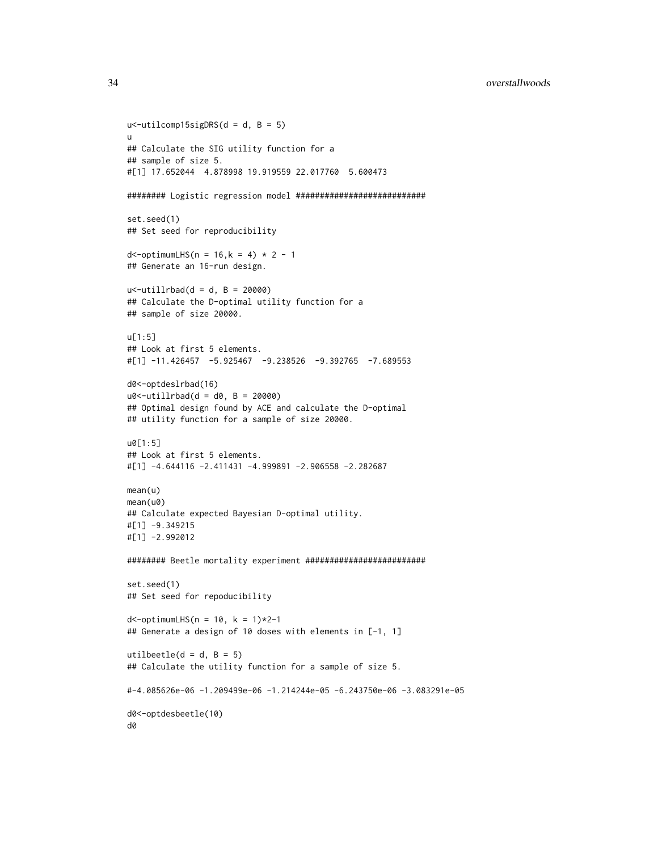```
u < - utilcomp15sigDRS(d = d, B = 5)
u
## Calculate the SIG utility function for a
## sample of size 5.
#[1] 17.652044 4.878998 19.919559 22.017760 5.600473
######## Logistic regression model ###########################
set.seed(1)
## Set seed for reproducibility
d < - optimumLHS(n = 16, k = 4) * 2 - 1
## Generate an 16-run design.
u < -utillrbad(d = d, B = 20000)
## Calculate the D-optimal utility function for a
## sample of size 20000.
u[1:5]
## Look at first 5 elements.
#[1] -11.426457 -5.925467 -9.238526 -9.392765 -7.689553d0<-optdeslrbad(16)
u0<-utillrbad(d = d0, B = 20000)
## Optimal design found by ACE and calculate the D-optimal
## utility function for a sample of size 20000.
u0[1:5]
## Look at first 5 elements.
#[1] -4.644116 -2.411431 -4.999891 -2.906558 -2.282687
mean(u)
mean(u0)
## Calculate expected Bayesian D-optimal utility.
#[1] -9.349215
#[1] -2.992012
######## Beetle mortality experiment #########################
set.seed(1)
## Set seed for repoducibility
d <-optimumLHS(n = 10, k = 1) *2-1## Generate a design of 10 doses with elements in [-1, 1]
utilbeetle(d = d, B = 5)
## Calculate the utility function for a sample of size 5.
#-4.085626e-06 -1.209499e-06 -1.214244e-05 -6.243750e-06 -3.083291e-05
d0<-optdesbeetle(10)
d0
```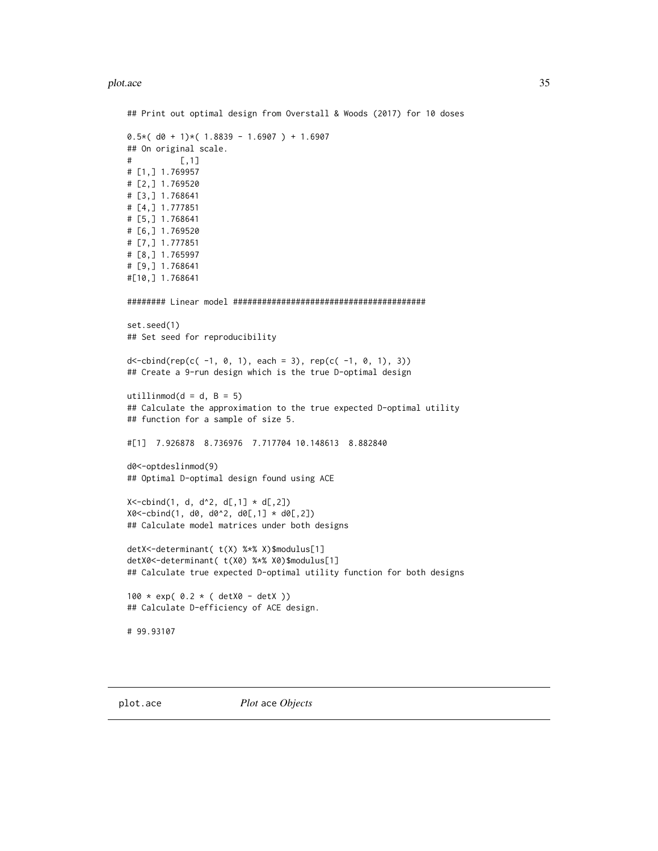### <span id="page-34-0"></span>plot.ace 35

```
## Print out optimal design from Overstall & Woods (2017) for 10 doses
0.5*(d0 + 1)*(1.8839 - 1.6907) + 1.6907## On original scale.
\sharp [,1]
# [1,] 1.769957
# [2,] 1.769520
# [3,] 1.768641
# [4,] 1.777851
# [5,] 1.768641
# [6,] 1.769520
# [7,] 1.777851
# [8,] 1.765997
# [9,] 1.768641
#[10,] 1.768641
######## Linear model ########################################
set.seed(1)
## Set seed for reproducibility
d < -cbind(rep(c( -1, 0, 1), each = 3), rep(c( -1, 0, 1), 3))
## Create a 9-run design which is the true D-optimal design
utillinmod(d = d, B = 5)
## Calculate the approximation to the true expected D-optimal utility
## function for a sample of size 5.
#[1] 7.926878 8.736976 7.717704 10.148613 8.882840
d0<-optdeslinmod(9)
## Optimal D-optimal design found using ACE
X < -cbind(1, d, d^2, d[,1] * d[,2])
X0<-cbind(1, d0, d0^2, d0[,1] * d0[,2])
## Calculate model matrices under both designs
detX<-determinant( t(X) %*% X)$modulus[1]
detX0<-determinant( t(X0) %*% X0)$modulus[1]
## Calculate true expected D-optimal utility function for both designs
100 * exp( 0.2 * ( detX0 - detX ))
## Calculate D-efficiency of ACE design.
# 99.93107
```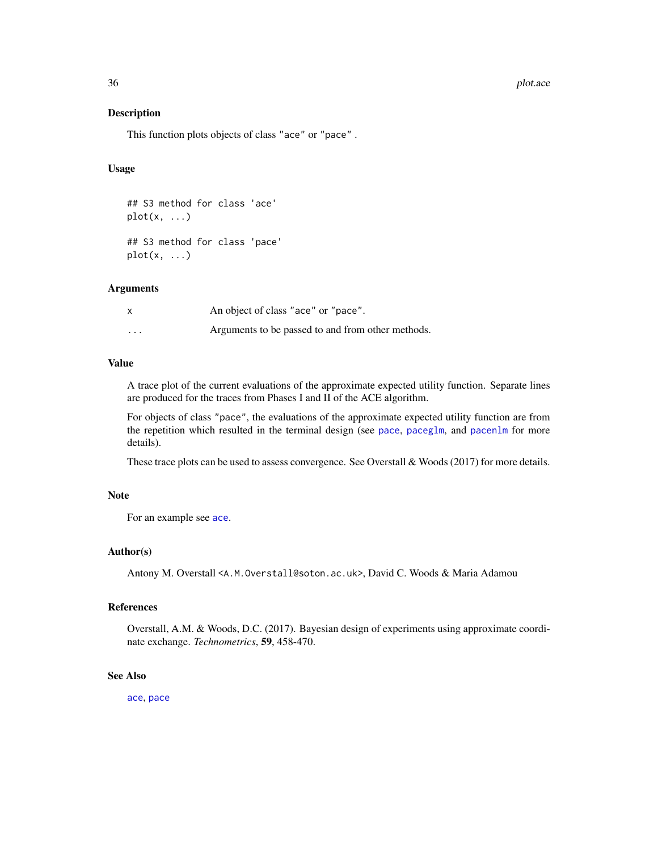### 36 plot.ace produced by the contract of the plot.ace plot.ace plot.ace plot.ace plot.ace plot.ace plot.ace plot.ace plot.ace plot.ace plot.ace plot.ace plot.ace plot.ace plot.ace plot.ace plot.ace plot.ace plot.ace plot.ac

### Description

This function plots objects of class "ace" or "pace" .

### Usage

```
## S3 method for class 'ace'
plot(x, \ldots)## S3 method for class 'pace'
plot(x, \ldots)
```
### **Arguments**

|                   | An object of class "ace" or "pace".               |
|-------------------|---------------------------------------------------|
| $\cdot\cdot\cdot$ | Arguments to be passed to and from other methods. |

### Value

A trace plot of the current evaluations of the approximate expected utility function. Separate lines are produced for the traces from Phases I and II of the ACE algorithm.

For objects of class "pace", the evaluations of the approximate expected utility function are from the repetition which resulted in the terminal design (see [pace](#page-4-0), [paceglm](#page-9-2), and [pacenlm](#page-16-2) for more details).

These trace plots can be used to assess convergence. See Overstall & Woods (2017) for more details.

### Note

For an example see [ace](#page-3-1).

### Author(s)

Antony M. Overstall <A.M.Overstall@soton.ac.uk>, David C. Woods & Maria Adamou

### References

Overstall, A.M. & Woods, D.C. (2017). Bayesian design of experiments using approximate coordinate exchange. *Technometrics*, 59, 458-470.

### See Also

[ace](#page-3-1), [pace](#page-4-0)

<span id="page-35-0"></span>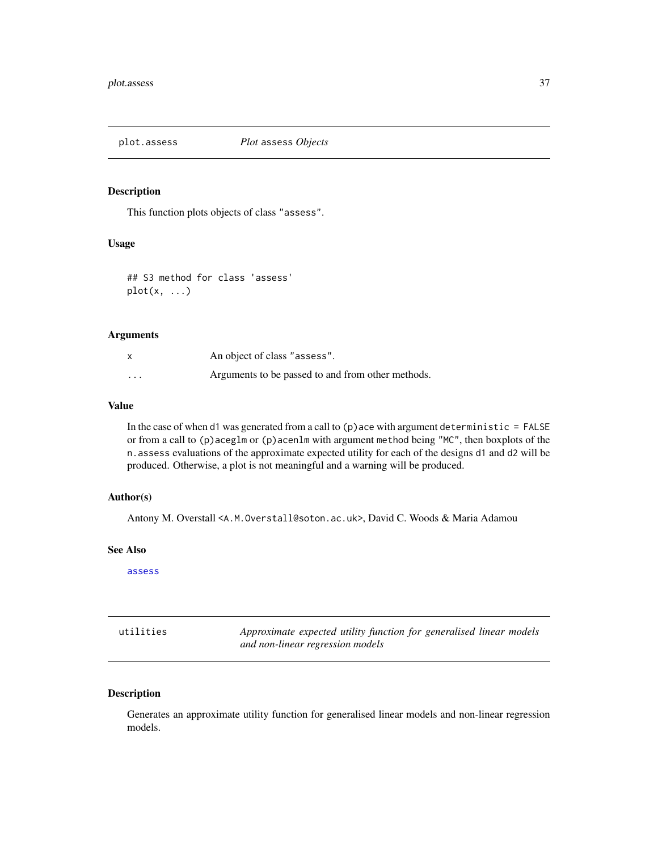<span id="page-36-0"></span>

### Description

This function plots objects of class "assess".

### Usage

```
## S3 method for class 'assess'
plot(x, \ldots)
```
### Arguments

| $\boldsymbol{\mathsf{x}}$ | An object of class "assess".                      |
|---------------------------|---------------------------------------------------|
| $\cdots$                  | Arguments to be passed to and from other methods. |

### Value

In the case of when d1 was generated from a call to  $(p)$  ace with argument deterministic = FALSE or from a call to (p)aceglm or (p)acenlm with argument method being "MC", then boxplots of the n.assess evaluations of the approximate expected utility for each of the designs d1 and d2 will be produced. Otherwise, a plot is not meaningful and a warning will be produced.

### Author(s)

Antony M. Overstall <A.M.Overstall@soton.ac.uk>, David C. Woods & Maria Adamou

### See Also

[assess](#page-24-1)

| utilities | Approximate expected utility function for generalised linear models |
|-----------|---------------------------------------------------------------------|
|           | and non-linear regression models                                    |

### Description

Generates an approximate utility function for generalised linear models and non-linear regression models.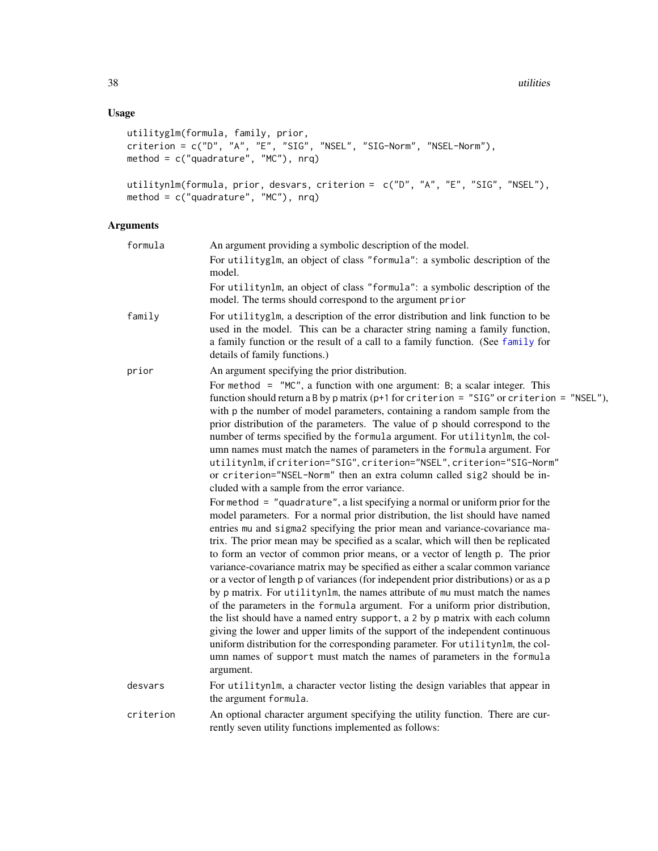### <span id="page-37-0"></span>Usage

```
utilityglm(formula, family, prior,
criterion = c("D", "A", "E", "SIG", "NSEL", "SIG-Norm", "NSEL-Norm"),
method = c("quadrature", "MC"), nrq)
utilitynlm(formula, prior, desvars, criterion = c("D", "A", "E", "SIG", "NSEL"),
method = c("quadrature", "MC"), nrq)
```
### Arguments

| formula   | An argument providing a symbolic description of the model.<br>For utilityglm, an object of class "formula": a symbolic description of the<br>model.                                                                                                                                                                                                                                                                                                                                                                                                                                                                                                                                                                                                                                                                                                                                                                                                                                                                                                                                                                                                                                                                                                                                                                                                                                                                                                                                                                                                                                                                                                                                                                                                                                                                                                                        |
|-----------|----------------------------------------------------------------------------------------------------------------------------------------------------------------------------------------------------------------------------------------------------------------------------------------------------------------------------------------------------------------------------------------------------------------------------------------------------------------------------------------------------------------------------------------------------------------------------------------------------------------------------------------------------------------------------------------------------------------------------------------------------------------------------------------------------------------------------------------------------------------------------------------------------------------------------------------------------------------------------------------------------------------------------------------------------------------------------------------------------------------------------------------------------------------------------------------------------------------------------------------------------------------------------------------------------------------------------------------------------------------------------------------------------------------------------------------------------------------------------------------------------------------------------------------------------------------------------------------------------------------------------------------------------------------------------------------------------------------------------------------------------------------------------------------------------------------------------------------------------------------------------|
|           | For utilitynlm, an object of class "formula": a symbolic description of the<br>model. The terms should correspond to the argument prior                                                                                                                                                                                                                                                                                                                                                                                                                                                                                                                                                                                                                                                                                                                                                                                                                                                                                                                                                                                                                                                                                                                                                                                                                                                                                                                                                                                                                                                                                                                                                                                                                                                                                                                                    |
| family    | For utilityglm, a description of the error distribution and link function to be<br>used in the model. This can be a character string naming a family function,<br>a family function or the result of a call to a family function. (See family for<br>details of family functions.)                                                                                                                                                                                                                                                                                                                                                                                                                                                                                                                                                                                                                                                                                                                                                                                                                                                                                                                                                                                                                                                                                                                                                                                                                                                                                                                                                                                                                                                                                                                                                                                         |
| prior     | An argument specifying the prior distribution.<br>For method = $"MC",$ a function with one argument: B; a scalar integer. This<br>function should return a B by p matrix ( $p+1$ for criterion = "SIG" or criterion = "NSEL"),<br>with p the number of model parameters, containing a random sample from the<br>prior distribution of the parameters. The value of p should correspond to the<br>number of terms specified by the formula argument. For utilitynlm, the col-<br>umn names must match the names of parameters in the formula argument. For<br>utilitynlm, if criterion="SIG", criterion="NSEL", criterion="SIG-Norm"<br>or criterion="NSEL-Norm" then an extra column called sig2 should be in-<br>cluded with a sample from the error variance.<br>For method $=$ "quadrature", a list specifying a normal or uniform prior for the<br>model parameters. For a normal prior distribution, the list should have named<br>entries mu and sigma2 specifying the prior mean and variance-covariance ma-<br>trix. The prior mean may be specified as a scalar, which will then be replicated<br>to form an vector of common prior means, or a vector of length p. The prior<br>variance-covariance matrix may be specified as either a scalar common variance<br>or a vector of length p of variances (for independent prior distributions) or as a p<br>by p matrix. For utilitynlm, the names attribute of mu must match the names<br>of the parameters in the formula argument. For a uniform prior distribution,<br>the list should have a named entry support, a 2 by p matrix with each column<br>giving the lower and upper limits of the support of the independent continuous<br>uniform distribution for the corresponding parameter. For utilitynlm, the col-<br>umn names of support must match the names of parameters in the formula<br>argument. |
| desvars   | For utilitynlm, a character vector listing the design variables that appear in<br>the argument formula.                                                                                                                                                                                                                                                                                                                                                                                                                                                                                                                                                                                                                                                                                                                                                                                                                                                                                                                                                                                                                                                                                                                                                                                                                                                                                                                                                                                                                                                                                                                                                                                                                                                                                                                                                                    |
| criterion | An optional character argument specifying the utility function. There are cur-<br>rently seven utility functions implemented as follows:                                                                                                                                                                                                                                                                                                                                                                                                                                                                                                                                                                                                                                                                                                                                                                                                                                                                                                                                                                                                                                                                                                                                                                                                                                                                                                                                                                                                                                                                                                                                                                                                                                                                                                                                   |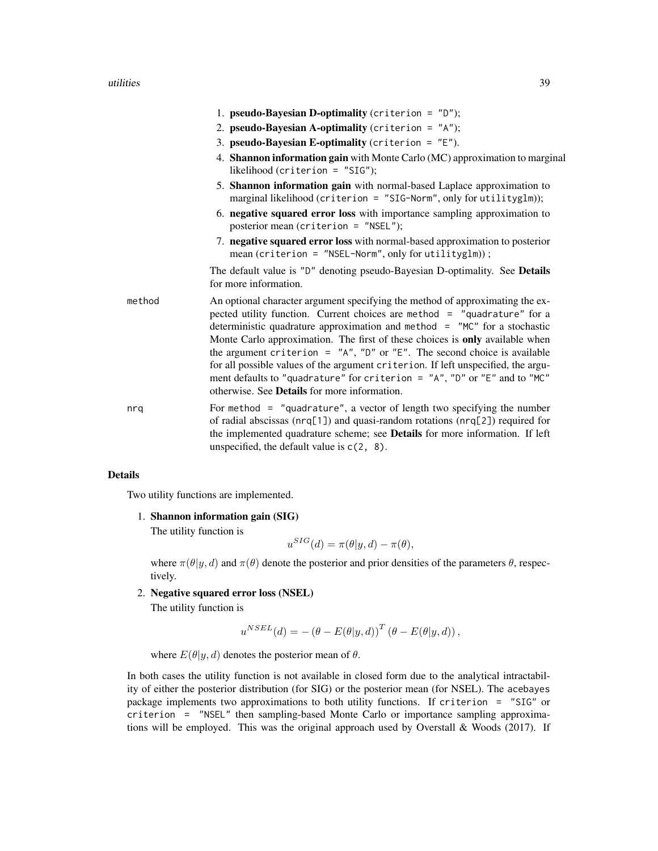### utilities 39

|        | 1. <b>pseudo-Bayesian D-optimality</b> (criterion = $"D"$ );                                                                                                                                                                                                                                                                                                                                                                                                                                                                                                                                                                      |
|--------|-----------------------------------------------------------------------------------------------------------------------------------------------------------------------------------------------------------------------------------------------------------------------------------------------------------------------------------------------------------------------------------------------------------------------------------------------------------------------------------------------------------------------------------------------------------------------------------------------------------------------------------|
|        | 2. pseudo-Bayesian A-optimality (criterion = $"A"$ );                                                                                                                                                                                                                                                                                                                                                                                                                                                                                                                                                                             |
|        | 3. pseudo-Bayesian E-optimality (criterion = $"E"$ ).                                                                                                                                                                                                                                                                                                                                                                                                                                                                                                                                                                             |
|        | 4. Shannon information gain with Monte Carlo (MC) approximation to marginal<br>likelihood (criterion = $"SIG"$ );                                                                                                                                                                                                                                                                                                                                                                                                                                                                                                                 |
|        | 5. Shannon information gain with normal-based Laplace approximation to<br>marginal likelihood (criterion = "SIG-Norm", only for utilityglm));                                                                                                                                                                                                                                                                                                                                                                                                                                                                                     |
|        | 6. negative squared error loss with importance sampling approximation to<br>posterior mean (criterion = "NSEL");                                                                                                                                                                                                                                                                                                                                                                                                                                                                                                                  |
|        | 7. negative squared error loss with normal-based approximation to posterior<br>mean (criterion = $"$ NSEL-Norm", only for utilityglm));                                                                                                                                                                                                                                                                                                                                                                                                                                                                                           |
|        | The default value is "D" denoting pseudo-Bayesian D-optimality. See Details<br>for more information.                                                                                                                                                                                                                                                                                                                                                                                                                                                                                                                              |
| method | An optional character argument specifying the method of approximating the ex-<br>pected utility function. Current choices are method = "quadrature" for a<br>deterministic quadrature approximation and method $=$ "MC" for a stochastic<br>Monte Carlo approximation. The first of these choices is only available when<br>the argument criterion = $'A''$ , "D" or "E". The second choice is available<br>for all possible values of the argument criterion. If left unspecified, the argu-<br>ment defaults to "quadrature" for criterion = "A", "D" or "E" and to "MC"<br>otherwise. See <b>Details</b> for more information. |
| nrq    | For method $=$ "quadrature", a vector of length two specifying the number<br>of radial abscissas (nrq[1]) and quasi-random rotations (nrq[2]) required for<br>the implemented quadrature scheme; see Details for more information. If left<br>unspecified, the default value is $c(2, 8)$ .                                                                                                                                                                                                                                                                                                                                       |

### Details

Two utility functions are implemented.

1. Shannon information gain (SIG)

The utility function is

$$
u^{SIG}(d) = \pi(\theta | y, d) - \pi(\theta),
$$

where  $\pi(\theta | y, d)$  and  $\pi(\theta)$  denote the posterior and prior densities of the parameters  $\theta$ , respectively.

2. Negative squared error loss (NSEL)

The utility function is

$$
u^{NSEL}(d) = -(\theta - E(\theta | y, d))^{T} (\theta - E(\theta | y, d)),
$$

where  $E(\theta | y, d)$  denotes the posterior mean of  $\theta$ .

In both cases the utility function is not available in closed form due to the analytical intractability of either the posterior distribution (for SIG) or the posterior mean (for NSEL). The acebayes package implements two approximations to both utility functions. If criterion = "SIG" or criterion = "NSEL" then sampling-based Monte Carlo or importance sampling approximations will be employed. This was the original approach used by Overstall & Woods (2017). If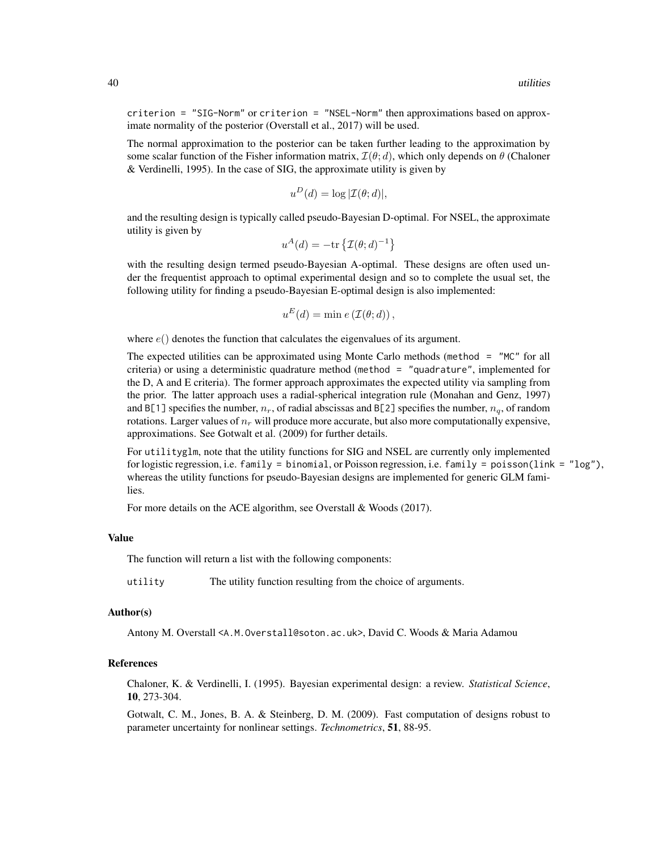criterion = "SIG-Norm" or criterion = "NSEL-Norm" then approximations based on approximate normality of the posterior (Overstall et al., 2017) will be used.

The normal approximation to the posterior can be taken further leading to the approximation by some scalar function of the Fisher information matrix,  $\mathcal{I}(\theta; d)$ , which only depends on  $\theta$  (Chaloner & Verdinelli, 1995). In the case of SIG, the approximate utility is given by

$$
u^D(d) = \log |\mathcal{I}(\theta; d)|,
$$

and the resulting design is typically called pseudo-Bayesian D-optimal. For NSEL, the approximate utility is given by

$$
u^A(d) = -\text{tr}\left\{\mathcal{I}(\theta; d)^{-1}\right\}
$$

with the resulting design termed pseudo-Bayesian A-optimal. These designs are often used under the frequentist approach to optimal experimental design and so to complete the usual set, the following utility for finding a pseudo-Bayesian E-optimal design is also implemented:

$$
u^{E}(d) = \min e(\mathcal{I}(\theta; d)),
$$

where  $e()$  denotes the function that calculates the eigenvalues of its argument.

The expected utilities can be approximated using Monte Carlo methods (method = "MC" for all criteria) or using a deterministic quadrature method (method = "quadrature", implemented for the D, A and E criteria). The former approach approximates the expected utility via sampling from the prior. The latter approach uses a radial-spherical integration rule (Monahan and Genz, 1997) and B[1] specifies the number,  $n_r$ , of radial abscissas and B[2] specifies the number,  $n_q$ , of random rotations. Larger values of  $n_r$  will produce more accurate, but also more computationally expensive, approximations. See Gotwalt et al. (2009) for further details.

For utilityglm, note that the utility functions for SIG and NSEL are currently only implemented for logistic regression, i.e. family = binomial, or Poisson regression, i.e. family = poisson(link = "log"), whereas the utility functions for pseudo-Bayesian designs are implemented for generic GLM families.

For more details on the ACE algorithm, see Overstall & Woods (2017).

### Value

The function will return a list with the following components:

utility The utility function resulting from the choice of arguments.

#### Author(s)

Antony M. Overstall <A.M.Overstall@soton.ac.uk>, David C. Woods & Maria Adamou

### References

Chaloner, K. & Verdinelli, I. (1995). Bayesian experimental design: a review. *Statistical Science*, 10, 273-304.

Gotwalt, C. M., Jones, B. A. & Steinberg, D. M. (2009). Fast computation of designs robust to parameter uncertainty for nonlinear settings. *Technometrics*, 51, 88-95.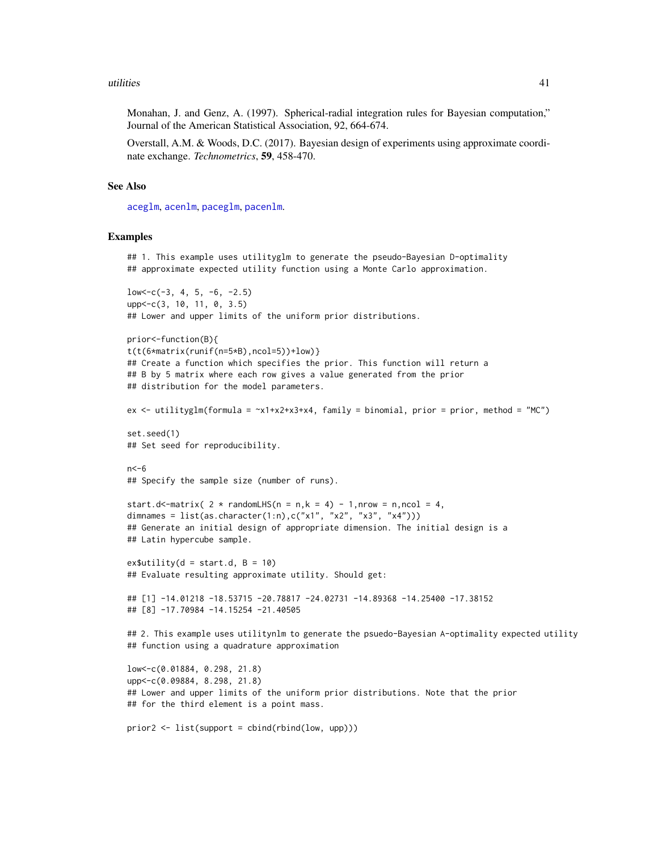### <span id="page-40-0"></span>utilities **41**

Monahan, J. and Genz, A. (1997). Spherical-radial integration rules for Bayesian computation," Journal of the American Statistical Association, 92, 664-674.

Overstall, A.M. & Woods, D.C. (2017). Bayesian design of experiments using approximate coordinate exchange. *Technometrics*, 59, 458-470.

#### See Also

[aceglm](#page-9-1), [acenlm](#page-16-1), [paceglm](#page-9-2), [pacenlm](#page-16-2).

### Examples

```
## 1. This example uses utilityglm to generate the pseudo-Bayesian D-optimality
## approximate expected utility function using a Monte Carlo approximation.
low < -c(-3, 4, 5, -6, -2.5)upp <- c(3, 10, 11, 0, 3.5)
## Lower and upper limits of the uniform prior distributions.
prior<-function(B){
t(t(6*matrix(runif(n=5*B),ncol=5))+low)}
## Create a function which specifies the prior. This function will return a
## B by 5 matrix where each row gives a value generated from the prior
## distribution for the model parameters.
ex <- utilityglm(formula = ~x1+x2+x3+x4, family = binomial, prior = prior, method = "MC")
set.seed(1)
## Set seed for reproducibility.
n < -6## Specify the sample size (number of runs).
start.d<-matrix( 2 * randomLHS(n = n,k = 4) - 1,nrow = n,ncol = 4,
dimnames = list(as.character(1:n),c("x1", "x2", "x3", "x4"))## Generate an initial design of appropriate dimension. The initial design is a
## Latin hypercube sample.
ex$utility(d = start.d, B = 10)
## Evaluate resulting approximate utility. Should get:
## [1] -14.01218 -18.53715 -20.78817 -24.02731 -14.89368 -14.25400 -17.38152
## [8] -17.70984 -14.15254 -21.40505
## 2. This example uses utilitynlm to generate the psuedo-Bayesian A-optimality expected utility
## function using a quadrature approximation
low<-c(0.01884, 0.298, 21.8)
upp<-c(0.09884, 8.298, 21.8)
## Lower and upper limits of the uniform prior distributions. Note that the prior
## for the third element is a point mass.
prior2 <- list(support = cbind(rbind(low, upp)))
```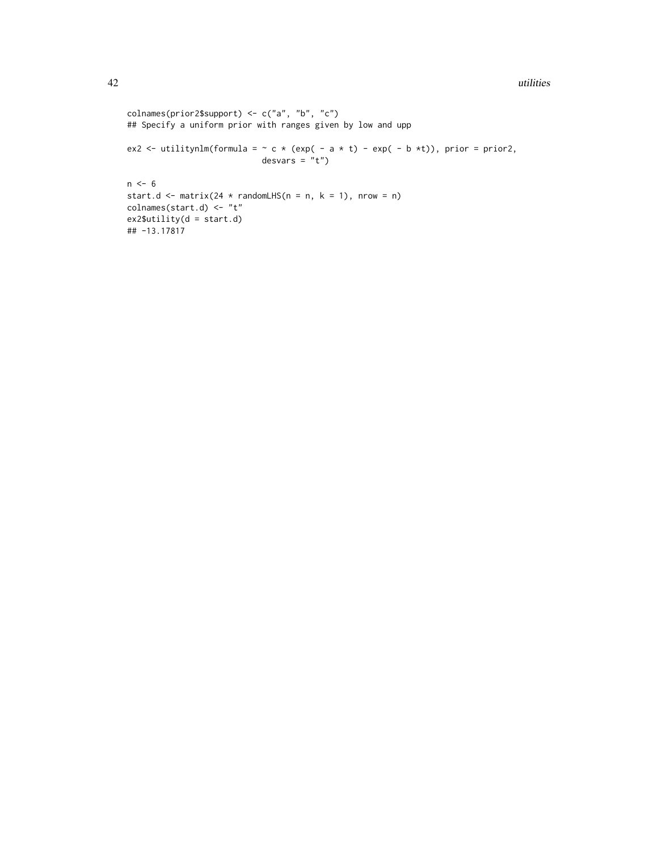```
colnames(prior2$support) <- c("a", "b", "c")
## Specify a uniform prior with ranges given by low and upp
ex2 <- utilitynlm(formula = \sim c * (exp( - a * t) - exp( - b *t)), prior = prior2,
                            desvars = "t")n \le -6start.d <- matrix(24 * randomLHS(n = n, k = 1), nrow = n)
colnames(start.d) <- "t"
ex2$utility(d = start.d)
## -13.17817
```